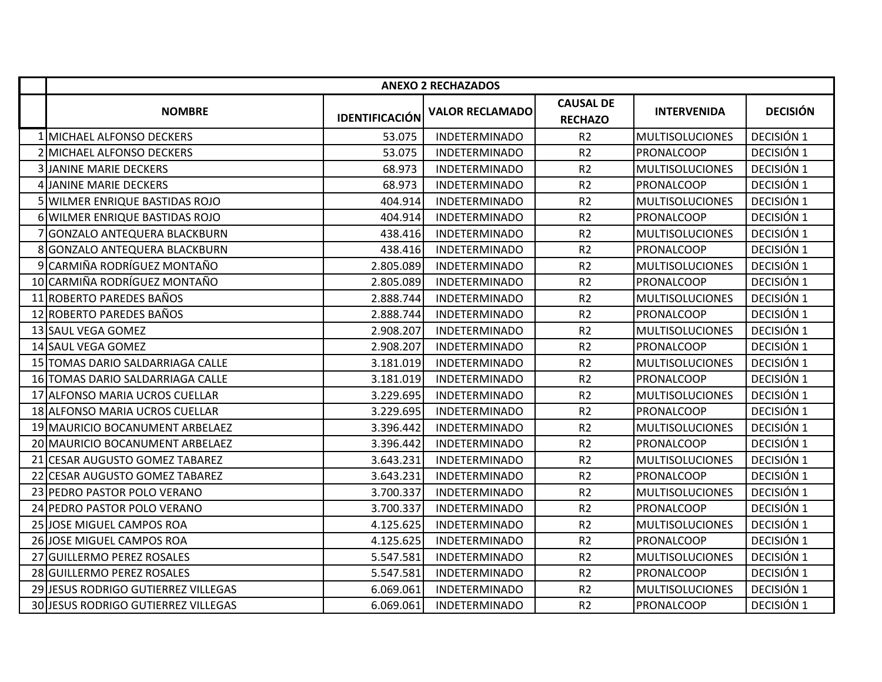|                                     |                       | <b>ANEXO 2 RECHAZADOS</b> |                                    |                        |                 |
|-------------------------------------|-----------------------|---------------------------|------------------------------------|------------------------|-----------------|
| <b>NOMBRE</b>                       | <b>IDENTIFICACIÓN</b> | <b>VALOR RECLAMADO</b>    | <b>CAUSAL DE</b><br><b>RECHAZO</b> | <b>INTERVENIDA</b>     | <b>DECISIÓN</b> |
| 1 MICHAEL ALFONSO DECKERS           | 53.075                | <b>INDETERMINADO</b>      | R <sub>2</sub>                     | <b>MULTISOLUCIONES</b> | DECISIÓN 1      |
| 2 MICHAEL ALFONSO DECKERS           | 53.075                | <b>INDETERMINADO</b>      | R <sub>2</sub>                     | <b>PRONALCOOP</b>      | DECISIÓN 1      |
| <b>3 JANINE MARIE DECKERS</b>       | 68.973                | <b>INDETERMINADO</b>      | R2                                 | <b>MULTISOLUCIONES</b> | DECISIÓN 1      |
| 4 JANINE MARIE DECKERS              | 68.973                | <b>INDETERMINADO</b>      | R <sub>2</sub>                     | PRONALCOOP             | DECISIÓN 1      |
| 5 WILMER ENRIQUE BASTIDAS ROJO      | 404.914               | <b>INDETERMINADO</b>      | R <sub>2</sub>                     | <b>MULTISOLUCIONES</b> | DECISIÓN 1      |
| 6 WILMER ENRIQUE BASTIDAS ROJO      | 404.914               | <b>INDETERMINADO</b>      | R <sub>2</sub>                     | PRONALCOOP             | DECISIÓN 1      |
| 7 GONZALO ANTEQUERA BLACKBURN       | 438.416               | <b>INDETERMINADO</b>      | R <sub>2</sub>                     | <b>MULTISOLUCIONES</b> | DECISIÓN 1      |
| 8 GONZALO ANTEQUERA BLACKBURN       | 438.416               | <b>INDETERMINADO</b>      | R <sub>2</sub>                     | PRONALCOOP             | DECISIÓN 1      |
| 9 CARMIÑA RODRÍGUEZ MONTAÑO         | 2.805.089             | <b>INDETERMINADO</b>      | R <sub>2</sub>                     | <b>MULTISOLUCIONES</b> | DECISIÓN 1      |
| 10 CARMIÑA RODRÍGUEZ MONTAÑO        | 2.805.089             | <b>INDETERMINADO</b>      | R <sub>2</sub>                     | PRONALCOOP             | DECISIÓN 1      |
| 11 ROBERTO PAREDES BAÑOS            | 2.888.744             | <b>INDETERMINADO</b>      | R2                                 | <b>MULTISOLUCIONES</b> | DECISIÓN 1      |
| 12 ROBERTO PAREDES BAÑOS            | 2.888.744             | <b>INDETERMINADO</b>      | R2                                 | PRONALCOOP             | DECISIÓN 1      |
| 13 SAUL VEGA GOMEZ                  | 2.908.207             | <b>INDETERMINADO</b>      | R <sub>2</sub>                     | <b>MULTISOLUCIONES</b> | DECISIÓN 1      |
| 14 SAUL VEGA GOMEZ                  | 2.908.207             | <b>INDETERMINADO</b>      | R2                                 | PRONALCOOP             | DECISIÓN 1      |
| 15 TOMAS DARIO SALDARRIAGA CALLE    | 3.181.019             | <b>INDETERMINADO</b>      | R <sub>2</sub>                     | <b>MULTISOLUCIONES</b> | DECISIÓN 1      |
| 16 TOMAS DARIO SALDARRIAGA CALLE    | 3.181.019             | <b>INDETERMINADO</b>      | R2                                 | PRONALCOOP             | DECISIÓN 1      |
| 17 ALFONSO MARIA UCROS CUELLAR      | 3.229.695             | <b>INDETERMINADO</b>      | R <sub>2</sub>                     | <b>MULTISOLUCIONES</b> | DECISIÓN 1      |
| 18 ALFONSO MARIA UCROS CUELLAR      | 3.229.695             | <b>INDETERMINADO</b>      | R <sub>2</sub>                     | PRONALCOOP             | DECISIÓN 1      |
| 19 MAURICIO BOCANUMENT ARBELAEZ     | 3.396.442             | <b>INDETERMINADO</b>      | R <sub>2</sub>                     | <b>MULTISOLUCIONES</b> | DECISIÓN 1      |
| 20 MAURICIO BOCANUMENT ARBELAEZ     | 3.396.442             | <b>INDETERMINADO</b>      | R <sub>2</sub>                     | PRONALCOOP             | DECISIÓN 1      |
| 21 CESAR AUGUSTO GOMEZ TABAREZ      | 3.643.231             | <b>INDETERMINADO</b>      | R <sub>2</sub>                     | <b>MULTISOLUCIONES</b> | DECISIÓN 1      |
| 22 CESAR AUGUSTO GOMEZ TABAREZ      | 3.643.231             | <b>INDETERMINADO</b>      | R <sub>2</sub>                     | PRONALCOOP             | DECISIÓN 1      |
| 23 PEDRO PASTOR POLO VERANO         | 3.700.337             | <b>INDETERMINADO</b>      | R <sub>2</sub>                     | <b>MULTISOLUCIONES</b> | DECISIÓN 1      |
| 24 PEDRO PASTOR POLO VERANO         | 3.700.337             | <b>INDETERMINADO</b>      | R <sub>2</sub>                     | PRONALCOOP             | DECISIÓN 1      |
| 25 JOSE MIGUEL CAMPOS ROA           | 4.125.625             | INDETERMINADO             | R <sub>2</sub>                     | <b>MULTISOLUCIONES</b> | DECISIÓN 1      |
| 26 JOSE MIGUEL CAMPOS ROA           | 4.125.625             | <b>INDETERMINADO</b>      | R <sub>2</sub>                     | PRONALCOOP             | DECISIÓN 1      |
| 27 GUILLERMO PEREZ ROSALES          | 5.547.581             | <b>INDETERMINADO</b>      | R <sub>2</sub>                     | <b>MULTISOLUCIONES</b> | DECISIÓN 1      |
| 28 GUILLERMO PEREZ ROSALES          | 5.547.581             | <b>INDETERMINADO</b>      | R2                                 | PRONALCOOP             | DECISIÓN 1      |
| 29 JESUS RODRIGO GUTIERREZ VILLEGAS | 6.069.061             | <b>INDETERMINADO</b>      | R <sub>2</sub>                     | <b>MULTISOLUCIONES</b> | DECISIÓN 1      |
| 30 JESUS RODRIGO GUTIERREZ VILLEGAS | 6.069.061             | <b>INDETERMINADO</b>      | R <sub>2</sub>                     | PRONALCOOP             | DECISIÓN 1      |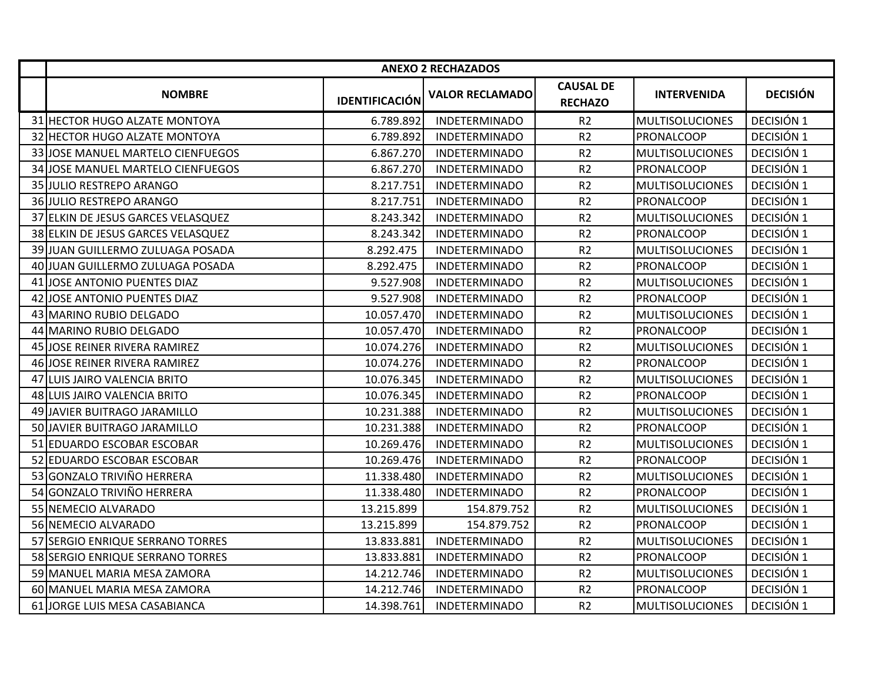|                                    |                       | <b>ANEXO 2 RECHAZADOS</b> |                                    |                        |                 |
|------------------------------------|-----------------------|---------------------------|------------------------------------|------------------------|-----------------|
| <b>NOMBRE</b>                      | <b>IDENTIFICACIÓN</b> | <b>VALOR RECLAMADO</b>    | <b>CAUSAL DE</b><br><b>RECHAZO</b> | <b>INTERVENIDA</b>     | <b>DECISIÓN</b> |
| 31 HECTOR HUGO ALZATE MONTOYA      | 6.789.892             | <b>INDETERMINADO</b>      | R <sub>2</sub>                     | <b>MULTISOLUCIONES</b> | DECISIÓN 1      |
| 32 HECTOR HUGO ALZATE MONTOYA      | 6.789.892             | <b>INDETERMINADO</b>      | R <sub>2</sub>                     | PRONALCOOP             | DECISIÓN 1      |
| 33 JOSE MANUEL MARTELO CIENFUEGOS  | 6.867.270             | <b>INDETERMINADO</b>      | R <sub>2</sub>                     | <b>MULTISOLUCIONES</b> | DECISIÓN 1      |
| 34 JOSE MANUEL MARTELO CIENFUEGOS  | 6.867.270             | <b>INDETERMINADO</b>      | R <sub>2</sub>                     | PRONALCOOP             | DECISIÓN 1      |
| 35 JULIO RESTREPO ARANGO           | 8.217.751             | <b>INDETERMINADO</b>      | R2                                 | <b>MULTISOLUCIONES</b> | DECISIÓN 1      |
| 36 JULIO RESTREPO ARANGO           | 8.217.751             | <b>INDETERMINADO</b>      | R <sub>2</sub>                     | PRONALCOOP             | DECISIÓN 1      |
| 37 ELKIN DE JESUS GARCES VELASQUEZ | 8.243.342             | <b>INDETERMINADO</b>      | R <sub>2</sub>                     | <b>MULTISOLUCIONES</b> | DECISIÓN 1      |
| 38 ELKIN DE JESUS GARCES VELASQUEZ | 8.243.342             | <b>INDETERMINADO</b>      | R2                                 | PRONALCOOP             | DECISIÓN 1      |
| 39 JUAN GUILLERMO ZULUAGA POSADA   | 8.292.475             | <b>INDETERMINADO</b>      | R <sub>2</sub>                     | <b>MULTISOLUCIONES</b> | DECISIÓN 1      |
| 40 JUAN GUILLERMO ZULUAGA POSADA   | 8.292.475             | <b>INDETERMINADO</b>      | R2                                 | PRONALCOOP             | DECISIÓN 1      |
| 41 JOSE ANTONIO PUENTES DIAZ       | 9.527.908             | <b>INDETERMINADO</b>      | R2                                 | <b>MULTISOLUCIONES</b> | DECISIÓN 1      |
| 42 JOSE ANTONIO PUENTES DIAZ       | 9.527.908             | <b>INDETERMINADO</b>      | R <sub>2</sub>                     | PRONALCOOP             | DECISIÓN 1      |
| 43 MARINO RUBIO DELGADO            | 10.057.470            | <b>INDETERMINADO</b>      | R <sub>2</sub>                     | <b>MULTISOLUCIONES</b> | DECISIÓN 1      |
| 44 MARINO RUBIO DELGADO            | 10.057.470            | <b>INDETERMINADO</b>      | R <sub>2</sub>                     | PRONALCOOP             | DECISIÓN 1      |
| 45 JOSE REINER RIVERA RAMIREZ      | 10.074.276            | <b>INDETERMINADO</b>      | R <sub>2</sub>                     | <b>MULTISOLUCIONES</b> | DECISIÓN 1      |
| 46 JOSE REINER RIVERA RAMIREZ      | 10.074.276            | <b>INDETERMINADO</b>      | R <sub>2</sub>                     | PRONALCOOP             | DECISIÓN 1      |
| 47 LUIS JAIRO VALENCIA BRITO       | 10.076.345            | <b>INDETERMINADO</b>      | R <sub>2</sub>                     | <b>MULTISOLUCIONES</b> | DECISIÓN 1      |
| 48 LUIS JAIRO VALENCIA BRITO       | 10.076.345            | <b>INDETERMINADO</b>      | R2                                 | PRONALCOOP             | DECISIÓN 1      |
| 49 JAVIER BUITRAGO JARAMILLO       | 10.231.388            | <b>INDETERMINADO</b>      | R2                                 | <b>MULTISOLUCIONES</b> | DECISIÓN 1      |
| 50 JAVIER BUITRAGO JARAMILLO       | 10.231.388            | <b>INDETERMINADO</b>      | R2                                 | PRONALCOOP             | DECISIÓN 1      |
| 51 EDUARDO ESCOBAR ESCOBAR         | 10.269.476            | <b>INDETERMINADO</b>      | R2                                 | <b>MULTISOLUCIONES</b> | DECISIÓN 1      |
| 52 EDUARDO ESCOBAR ESCOBAR         | 10.269.476            | <b>INDETERMINADO</b>      | R2                                 | PRONALCOOP             | DECISIÓN 1      |
| 53 GONZALO TRIVIÑO HERRERA         | 11.338.480            | <b>INDETERMINADO</b>      | R2                                 | <b>MULTISOLUCIONES</b> | DECISIÓN 1      |
| 54 GONZALO TRIVIÑO HERRERA         | 11.338.480            | <b>INDETERMINADO</b>      | R2                                 | PRONALCOOP             | DECISIÓN 1      |
| 55 NEMECIO ALVARADO                | 13.215.899            | 154.879.752               | R2                                 | <b>MULTISOLUCIONES</b> | DECISIÓN 1      |
| 56 NEMECIO ALVARADO                | 13.215.899            | 154.879.752               | R2                                 | PRONALCOOP             | DECISIÓN 1      |
| 57 SERGIO ENRIQUE SERRANO TORRES   | 13.833.881            | <b>INDETERMINADO</b>      | R2                                 | <b>MULTISOLUCIONES</b> | DECISIÓN 1      |
| 58 SERGIO ENRIQUE SERRANO TORRES   | 13.833.881            | <b>INDETERMINADO</b>      | R <sub>2</sub>                     | PRONALCOOP             | DECISIÓN 1      |
| 59 MANUEL MARIA MESA ZAMORA        | 14.212.746            | <b>INDETERMINADO</b>      | R <sub>2</sub>                     | <b>MULTISOLUCIONES</b> | DECISIÓN 1      |
| 60 MANUEL MARIA MESA ZAMORA        | 14.212.746            | <b>INDETERMINADO</b>      | R <sub>2</sub>                     | PRONALCOOP             | DECISIÓN 1      |
| 61 JORGE LUIS MESA CASABIANCA      | 14.398.761            | <b>INDETERMINADO</b>      | R <sub>2</sub>                     | <b>MULTISOLUCIONES</b> | DECISIÓN 1      |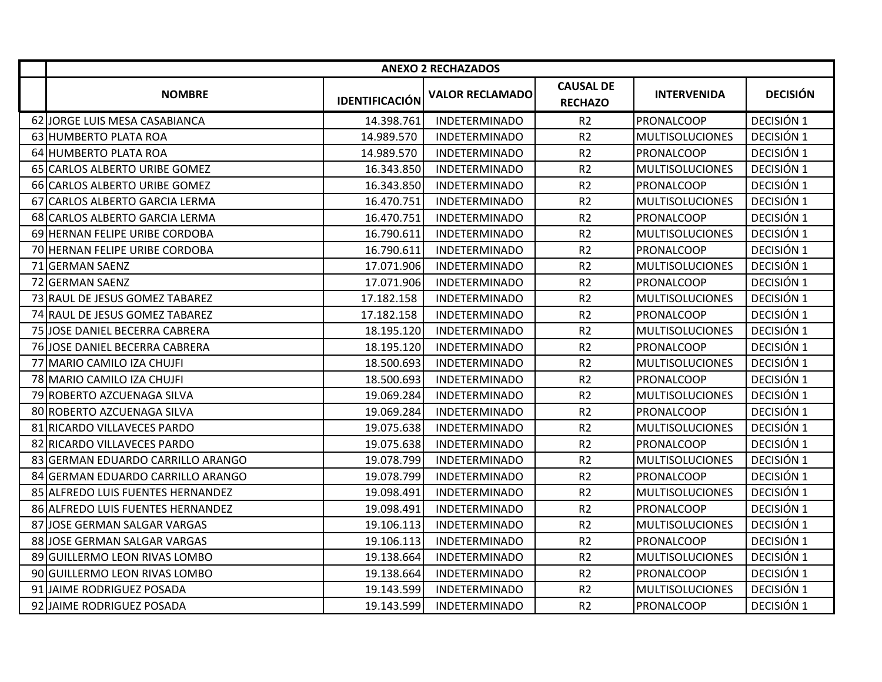|                                   |                       | <b>ANEXO 2 RECHAZADOS</b> |                                    |                        |                 |
|-----------------------------------|-----------------------|---------------------------|------------------------------------|------------------------|-----------------|
| <b>NOMBRE</b>                     | <b>IDENTIFICACIÓN</b> | <b>VALOR RECLAMADO</b>    | <b>CAUSAL DE</b><br><b>RECHAZO</b> | <b>INTERVENIDA</b>     | <b>DECISIÓN</b> |
| 62 JORGE LUIS MESA CASABIANCA     | 14.398.761            | <b>INDETERMINADO</b>      | R <sub>2</sub>                     | PRONALCOOP             | DECISIÓN 1      |
| 63 HUMBERTO PLATA ROA             | 14.989.570            | <b>INDETERMINADO</b>      | R <sub>2</sub>                     | <b>MULTISOLUCIONES</b> | DECISIÓN 1      |
| 64 HUMBERTO PLATA ROA             | 14.989.570            | <b>INDETERMINADO</b>      | R <sub>2</sub>                     | <b>PRONALCOOP</b>      | DECISIÓN 1      |
| 65 CARLOS ALBERTO URIBE GOMEZ     | 16.343.850            | <b>INDETERMINADO</b>      | R <sub>2</sub>                     | <b>MULTISOLUCIONES</b> | DECISIÓN 1      |
| 66 CARLOS ALBERTO URIBE GOMEZ     | 16.343.850            | <b>INDETERMINADO</b>      | R <sub>2</sub>                     | PRONALCOOP             | DECISIÓN 1      |
| 67 CARLOS ALBERTO GARCIA LERMA    | 16.470.751            | <b>INDETERMINADO</b>      | R2                                 | <b>MULTISOLUCIONES</b> | DECISIÓN 1      |
| 68 CARLOS ALBERTO GARCIA LERMA    | 16.470.751            | <b>INDETERMINADO</b>      | R2                                 | PRONALCOOP             | DECISIÓN 1      |
| 69 HERNAN FELIPE URIBE CORDOBA    | 16.790.611            | <b>INDETERMINADO</b>      | R <sub>2</sub>                     | <b>MULTISOLUCIONES</b> | DECISIÓN 1      |
| 70 HERNAN FELIPE URIBE CORDOBA    | 16.790.611            | <b>INDETERMINADO</b>      | R <sub>2</sub>                     | PRONALCOOP             | DECISIÓN 1      |
| 71 GERMAN SAENZ                   | 17.071.906            | <b>INDETERMINADO</b>      | R <sub>2</sub>                     | <b>MULTISOLUCIONES</b> | DECISIÓN 1      |
| 72 GERMAN SAENZ                   | 17.071.906            | <b>INDETERMINADO</b>      | R <sub>2</sub>                     | PRONALCOOP             | DECISIÓN 1      |
| 73 RAUL DE JESUS GOMEZ TABAREZ    | 17.182.158            | <b>INDETERMINADO</b>      | R <sub>2</sub>                     | <b>MULTISOLUCIONES</b> | DECISIÓN 1      |
| 74 RAUL DE JESUS GOMEZ TABAREZ    | 17.182.158            | <b>INDETERMINADO</b>      | R <sub>2</sub>                     | PRONALCOOP             | DECISIÓN 1      |
| 75 JOSE DANIEL BECERRA CABRERA    | 18.195.120            | <b>INDETERMINADO</b>      | R <sub>2</sub>                     | <b>MULTISOLUCIONES</b> | DECISIÓN 1      |
| 76 JOSE DANIEL BECERRA CABRERA    | 18.195.120            | <b>INDETERMINADO</b>      | R <sub>2</sub>                     | PRONALCOOP             | DECISIÓN 1      |
| 77 MARIO CAMILO IZA CHUJFI        | 18.500.693            | <b>INDETERMINADO</b>      | R <sub>2</sub>                     | <b>MULTISOLUCIONES</b> | DECISIÓN 1      |
| 78 MARIO CAMILO IZA CHUJFI        | 18.500.693            | <b>INDETERMINADO</b>      | R <sub>2</sub>                     | PRONALCOOP             | DECISIÓN 1      |
| 79 ROBERTO AZCUENAGA SILVA        | 19.069.284            | <b>INDETERMINADO</b>      | R2                                 | <b>MULTISOLUCIONES</b> | DECISIÓN 1      |
| 80 ROBERTO AZCUENAGA SILVA        | 19.069.284            | <b>INDETERMINADO</b>      | R <sub>2</sub>                     | PRONALCOOP             | DECISIÓN 1      |
| 81 RICARDO VILLAVECES PARDO       | 19.075.638            | <b>INDETERMINADO</b>      | R2                                 | <b>MULTISOLUCIONES</b> | DECISIÓN 1      |
| 82 RICARDO VILLAVECES PARDO       | 19.075.638            | <b>INDETERMINADO</b>      | R <sub>2</sub>                     | PRONALCOOP             | DECISIÓN 1      |
| 83 GERMAN EDUARDO CARRILLO ARANGO | 19.078.799            | <b>INDETERMINADO</b>      | R <sub>2</sub>                     | <b>MULTISOLUCIONES</b> | DECISIÓN 1      |
| 84 GERMAN EDUARDO CARRILLO ARANGO | 19.078.799            | <b>INDETERMINADO</b>      | R <sub>2</sub>                     | PRONALCOOP             | DECISIÓN 1      |
| 85 ALFREDO LUIS FUENTES HERNANDEZ | 19.098.491            | <b>INDETERMINADO</b>      | R <sub>2</sub>                     | <b>MULTISOLUCIONES</b> | DECISIÓN 1      |
| 86 ALFREDO LUIS FUENTES HERNANDEZ | 19.098.491            | <b>INDETERMINADO</b>      | R <sub>2</sub>                     | PRONALCOOP             | DECISIÓN 1      |
| 87 JOSE GERMAN SALGAR VARGAS      | 19.106.113            | <b>INDETERMINADO</b>      | R <sub>2</sub>                     | <b>MULTISOLUCIONES</b> | DECISIÓN 1      |
| 88 JOSE GERMAN SALGAR VARGAS      | 19.106.113            | <b>INDETERMINADO</b>      | R <sub>2</sub>                     | PRONALCOOP             | DECISIÓN 1      |
| 89 GUILLERMO LEON RIVAS LOMBO     | 19.138.664            | <b>INDETERMINADO</b>      | R <sub>2</sub>                     | <b>MULTISOLUCIONES</b> | DECISIÓN 1      |
| 90 GUILLERMO LEON RIVAS LOMBO     | 19.138.664            | <b>INDETERMINADO</b>      | R <sub>2</sub>                     | PRONALCOOP             | DECISIÓN 1      |
| 91 JAIME RODRIGUEZ POSADA         | 19.143.599            | <b>INDETERMINADO</b>      | R2                                 | <b>MULTISOLUCIONES</b> | DECISIÓN 1      |
| 92 JAIME RODRIGUEZ POSADA         | 19.143.599            | <b>INDETERMINADO</b>      | R <sub>2</sub>                     | PRONALCOOP             | DECISIÓN 1      |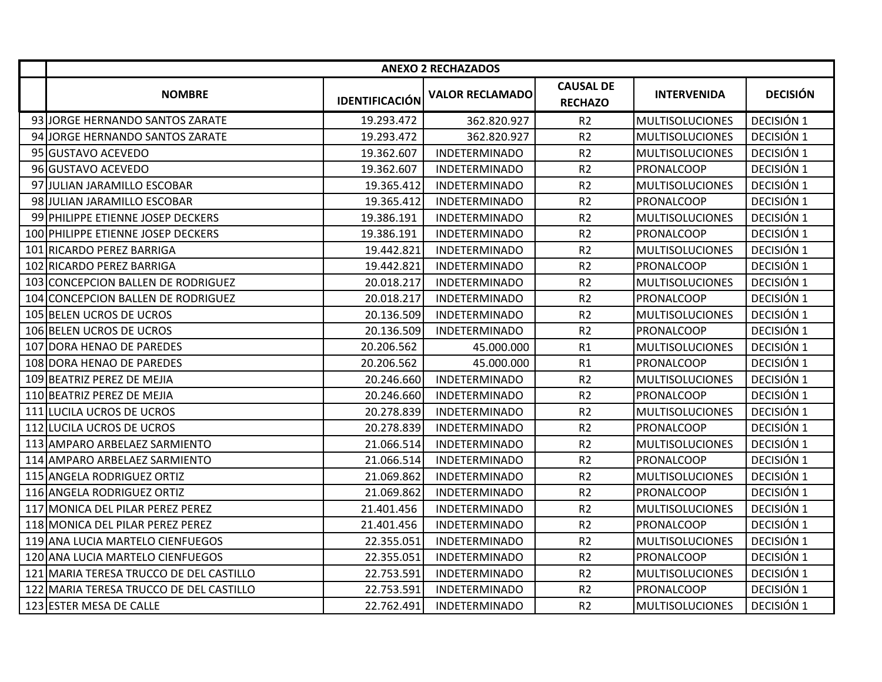|                                         |                       | <b>ANEXO 2 RECHAZADOS</b> |                                    |                        |                 |
|-----------------------------------------|-----------------------|---------------------------|------------------------------------|------------------------|-----------------|
| <b>NOMBRE</b>                           | <b>IDENTIFICACIÓN</b> | <b>VALOR RECLAMADO</b>    | <b>CAUSAL DE</b><br><b>RECHAZO</b> | <b>INTERVENIDA</b>     | <b>DECISIÓN</b> |
| 93 JJORGE HERNANDO SANTOS ZARATE        | 19.293.472            | 362.820.927               | R <sub>2</sub>                     | <b>MULTISOLUCIONES</b> | DECISIÓN 1      |
| 94 JORGE HERNANDO SANTOS ZARATE         | 19.293.472            | 362.820.927               | R2                                 | <b>MULTISOLUCIONES</b> | DECISIÓN 1      |
| 95 GUSTAVO ACEVEDO                      | 19.362.607            | <b>INDETERMINADO</b>      | R2                                 | <b>MULTISOLUCIONES</b> | DECISIÓN 1      |
| 96 GUSTAVO ACEVEDO                      | 19.362.607            | <b>INDETERMINADO</b>      | R <sub>2</sub>                     | <b>PRONALCOOP</b>      | DECISIÓN 1      |
| 97 JULIAN JARAMILLO ESCOBAR             | 19.365.412            | <b>INDETERMINADO</b>      | R <sub>2</sub>                     | <b>MULTISOLUCIONES</b> | DECISIÓN 1      |
| 98 JULIAN JARAMILLO ESCOBAR             | 19.365.412            | <b>INDETERMINADO</b>      | R <sub>2</sub>                     | PRONALCOOP             | DECISIÓN 1      |
| 99 PHILIPPE ETIENNE JOSEP DECKERS       | 19.386.191            | <b>INDETERMINADO</b>      | R2                                 | <b>MULTISOLUCIONES</b> | DECISIÓN 1      |
| 100 PHILIPPE ETIENNE JOSEP DECKERS      | 19.386.191            | <b>INDETERMINADO</b>      | R <sub>2</sub>                     | <b>PRONALCOOP</b>      | DECISIÓN 1      |
| 101 RICARDO PEREZ BARRIGA               | 19.442.821            | <b>INDETERMINADO</b>      | R2                                 | <b>MULTISOLUCIONES</b> | DECISIÓN 1      |
| 102 RICARDO PEREZ BARRIGA               | 19.442.821            | <b>INDETERMINADO</b>      | R <sub>2</sub>                     | <b>PRONALCOOP</b>      | DECISIÓN 1      |
| 103 CONCEPCION BALLEN DE RODRIGUEZ      | 20.018.217            | <b>INDETERMINADO</b>      | R2                                 | <b>MULTISOLUCIONES</b> | DECISIÓN 1      |
| 104 CONCEPCION BALLEN DE RODRIGUEZ      | 20.018.217            | <b>INDETERMINADO</b>      | R2                                 | PRONALCOOP             | DECISIÓN 1      |
| 105 BELEN UCROS DE UCROS                | 20.136.509            | <b>INDETERMINADO</b>      | R <sub>2</sub>                     | <b>MULTISOLUCIONES</b> | DECISIÓN 1      |
| 106 BELEN UCROS DE UCROS                | 20.136.509            | <b>INDETERMINADO</b>      | R2                                 | <b>PRONALCOOP</b>      | DECISIÓN 1      |
| 107 DORA HENAO DE PAREDES               | 20.206.562            | 45.000.000                | R1                                 | <b>MULTISOLUCIONES</b> | DECISIÓN 1      |
| 108 DORA HENAO DE PAREDES               | 20.206.562            | 45.000.000                | R1                                 | PRONALCOOP             | DECISIÓN 1      |
| 109 BEATRIZ PEREZ DE MEJIA              | 20.246.660            | <b>INDETERMINADO</b>      | R2                                 | <b>MULTISOLUCIONES</b> | DECISIÓN 1      |
| 110 BEATRIZ PEREZ DE MEJIA              | 20.246.660            | <b>INDETERMINADO</b>      | R2                                 | PRONALCOOP             | DECISIÓN 1      |
| 111 LUCILA UCROS DE UCROS               | 20.278.839            | <b>INDETERMINADO</b>      | R <sub>2</sub>                     | <b>MULTISOLUCIONES</b> | DECISIÓN 1      |
| 112 LUCILA UCROS DE UCROS               | 20.278.839            | <b>INDETERMINADO</b>      | R2                                 | <b>PRONALCOOP</b>      | DECISIÓN 1      |
| 113 AMPARO ARBELAEZ SARMIENTO           | 21.066.514            | <b>INDETERMINADO</b>      | R <sub>2</sub>                     | <b>MULTISOLUCIONES</b> | DECISIÓN 1      |
| 114 AMPARO ARBELAEZ SARMIENTO           | 21.066.514            | <b>INDETERMINADO</b>      | R2                                 | PRONALCOOP             | DECISIÓN 1      |
| 115 ANGELA RODRIGUEZ ORTIZ              | 21.069.862            | <b>INDETERMINADO</b>      | R2                                 | <b>MULTISOLUCIONES</b> | DECISIÓN 1      |
| 116 ANGELA RODRIGUEZ ORTIZ              | 21.069.862            | <b>INDETERMINADO</b>      | R2                                 | PRONALCOOP             | DECISIÓN 1      |
| 117 MONICA DEL PILAR PEREZ PEREZ        | 21.401.456            | <b>INDETERMINADO</b>      | R2                                 | <b>MULTISOLUCIONES</b> | DECISIÓN 1      |
| 118 MONICA DEL PILAR PEREZ PEREZ        | 21.401.456            | <b>INDETERMINADO</b>      | R2                                 | <b>PRONALCOOP</b>      | DECISIÓN 1      |
| 119 ANA LUCIA MARTELO CIENFUEGOS        | 22.355.051            | <b>INDETERMINADO</b>      | R2                                 | <b>MULTISOLUCIONES</b> | DECISIÓN 1      |
| 120 ANA LUCIA MARTELO CIENFUEGOS        | 22.355.051            | <b>INDETERMINADO</b>      | R <sub>2</sub>                     | <b>PRONALCOOP</b>      | DECISIÓN 1      |
| 121 MARIA TERESA TRUCCO DE DEL CASTILLO | 22.753.591            | <b>INDETERMINADO</b>      | R2                                 | <b>MULTISOLUCIONES</b> | DECISIÓN 1      |
| 122 MARIA TERESA TRUCCO DE DEL CASTILLO | 22.753.591            | <b>INDETERMINADO</b>      | R2                                 | PRONALCOOP             | DECISIÓN 1      |
| 123 ESTER MESA DE CALLE                 | 22.762.491            | <b>INDETERMINADO</b>      | R <sub>2</sub>                     | <b>MULTISOLUCIONES</b> | DECISIÓN 1      |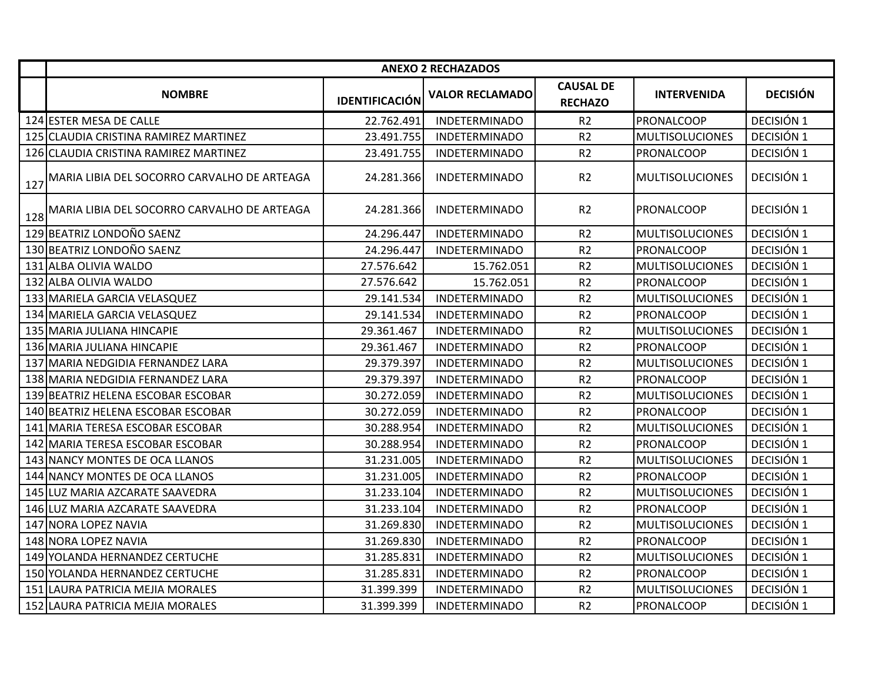|     | <b>ANEXO 2 RECHAZADOS</b>                   |                       |                        |                                    |                        |                 |  |  |  |
|-----|---------------------------------------------|-----------------------|------------------------|------------------------------------|------------------------|-----------------|--|--|--|
|     | <b>NOMBRE</b>                               | <b>IDENTIFICACIÓN</b> | <b>VALOR RECLAMADO</b> | <b>CAUSAL DE</b><br><b>RECHAZO</b> | <b>INTERVENIDA</b>     | <b>DECISIÓN</b> |  |  |  |
|     | 124 ESTER MESA DE CALLE                     | 22.762.491            | <b>INDETERMINADO</b>   | R <sub>2</sub>                     | PRONALCOOP             | DECISIÓN 1      |  |  |  |
|     | 125 CLAUDIA CRISTINA RAMIREZ MARTINEZ       | 23.491.755            | <b>INDETERMINADO</b>   | R <sub>2</sub>                     | <b>MULTISOLUCIONES</b> | DECISIÓN 1      |  |  |  |
|     | 126 CLAUDIA CRISTINA RAMIREZ MARTINEZ       | 23.491.755            | <b>INDETERMINADO</b>   | R <sub>2</sub>                     | PRONALCOOP             | DECISIÓN 1      |  |  |  |
| 127 | MARIA LIBIA DEL SOCORRO CARVALHO DE ARTEAGA | 24.281.366            | <b>INDETERMINADO</b>   | R2                                 | <b>MULTISOLUCIONES</b> | DECISIÓN 1      |  |  |  |
| 128 | MARIA LIBIA DEL SOCORRO CARVALHO DE ARTEAGA | 24.281.366            | INDETERMINADO          | R <sub>2</sub>                     | <b>PRONALCOOP</b>      | DECISIÓN 1      |  |  |  |
|     | 129 BEATRIZ LONDOÑO SAENZ                   | 24.296.447            | <b>INDETERMINADO</b>   | R <sub>2</sub>                     | <b>MULTISOLUCIONES</b> | DECISIÓN 1      |  |  |  |
|     | 130 BEATRIZ LONDOÑO SAENZ                   | 24.296.447            | <b>INDETERMINADO</b>   | R <sub>2</sub>                     | PRONALCOOP             | DECISIÓN 1      |  |  |  |
|     | 131 ALBA OLIVIA WALDO                       | 27.576.642            | 15.762.051             | R <sub>2</sub>                     | <b>MULTISOLUCIONES</b> | DECISIÓN 1      |  |  |  |
|     | 132 ALBA OLIVIA WALDO                       | 27.576.642            | 15.762.051             | R <sub>2</sub>                     | PRONALCOOP             | DECISIÓN 1      |  |  |  |
|     | 133 MARIELA GARCIA VELASQUEZ                | 29.141.534            | <b>INDETERMINADO</b>   | R <sub>2</sub>                     | <b>MULTISOLUCIONES</b> | DECISIÓN 1      |  |  |  |
|     | 134 MARIELA GARCIA VELASQUEZ                | 29.141.534            | <b>INDETERMINADO</b>   | R <sub>2</sub>                     | PRONALCOOP             | DECISIÓN 1      |  |  |  |
|     | 135 MARIA JULIANA HINCAPIE                  | 29.361.467            | <b>INDETERMINADO</b>   | R <sub>2</sub>                     | <b>MULTISOLUCIONES</b> | DECISIÓN 1      |  |  |  |
|     | 136 MARIA JULIANA HINCAPIE                  | 29.361.467            | <b>INDETERMINADO</b>   | R <sub>2</sub>                     | PRONALCOOP             | DECISIÓN 1      |  |  |  |
|     | 137 MARIA NEDGIDIA FERNANDEZ LARA           | 29.379.397            | <b>INDETERMINADO</b>   | R2                                 | <b>MULTISOLUCIONES</b> | DECISIÓN 1      |  |  |  |
|     | 138 MARIA NEDGIDIA FERNANDEZ LARA           | 29.379.397            | <b>INDETERMINADO</b>   | R <sub>2</sub>                     | PRONALCOOP             | DECISIÓN 1      |  |  |  |
|     | 139 BEATRIZ HELENA ESCOBAR ESCOBAR          | 30.272.059            | <b>INDETERMINADO</b>   | R <sub>2</sub>                     | <b>MULTISOLUCIONES</b> | DECISIÓN 1      |  |  |  |
|     | 140 BEATRIZ HELENA ESCOBAR ESCOBAR          | 30.272.059            | <b>INDETERMINADO</b>   | R2                                 | PRONALCOOP             | DECISIÓN 1      |  |  |  |
|     | 141 MARIA TERESA ESCOBAR ESCOBAR            | 30.288.954            | <b>INDETERMINADO</b>   | R <sub>2</sub>                     | <b>MULTISOLUCIONES</b> | DECISIÓN 1      |  |  |  |
|     | 142 MARIA TERESA ESCOBAR ESCOBAR            | 30.288.954            | <b>INDETERMINADO</b>   | R <sub>2</sub>                     | PRONALCOOP             | DECISIÓN 1      |  |  |  |
|     | 143 NANCY MONTES DE OCA LLANOS              | 31.231.005            | <b>INDETERMINADO</b>   | R <sub>2</sub>                     | <b>MULTISOLUCIONES</b> | DECISIÓN 1      |  |  |  |
|     | 144 NANCY MONTES DE OCA LLANOS              | 31.231.005            | <b>INDETERMINADO</b>   | R <sub>2</sub>                     | PRONALCOOP             | DECISIÓN 1      |  |  |  |
|     | 145 LUZ MARIA AZCARATE SAAVEDRA             | 31.233.104            | <b>INDETERMINADO</b>   | R <sub>2</sub>                     | <b>MULTISOLUCIONES</b> | DECISIÓN 1      |  |  |  |
|     | 146 LUZ MARIA AZCARATE SAAVEDRA             | 31.233.104            | <b>INDETERMINADO</b>   | R <sub>2</sub>                     | PRONALCOOP             | DECISIÓN 1      |  |  |  |
|     | 147 NORA LOPEZ NAVIA                        | 31.269.830            | <b>INDETERMINADO</b>   | R <sub>2</sub>                     | <b>MULTISOLUCIONES</b> | DECISIÓN 1      |  |  |  |
|     | 148 NORA LOPEZ NAVIA                        | 31.269.830            | <b>INDETERMINADO</b>   | R <sub>2</sub>                     | PRONALCOOP             | DECISIÓN 1      |  |  |  |
|     | 149 YOLANDA HERNANDEZ CERTUCHE              | 31.285.831            | <b>INDETERMINADO</b>   | R <sub>2</sub>                     | <b>MULTISOLUCIONES</b> | DECISIÓN 1      |  |  |  |
|     | 150 YOLANDA HERNANDEZ CERTUCHE              | 31.285.831            | <b>INDETERMINADO</b>   | R <sub>2</sub>                     | PRONALCOOP             | DECISIÓN 1      |  |  |  |
|     | 151 LAURA PATRICIA MEJIA MORALES            | 31.399.399            | <b>INDETERMINADO</b>   | R <sub>2</sub>                     | <b>MULTISOLUCIONES</b> | DECISIÓN 1      |  |  |  |
|     | 152 LAURA PATRICIA MEJIA MORALES            | 31.399.399            | <b>INDETERMINADO</b>   | R <sub>2</sub>                     | PRONALCOOP             | DECISIÓN 1      |  |  |  |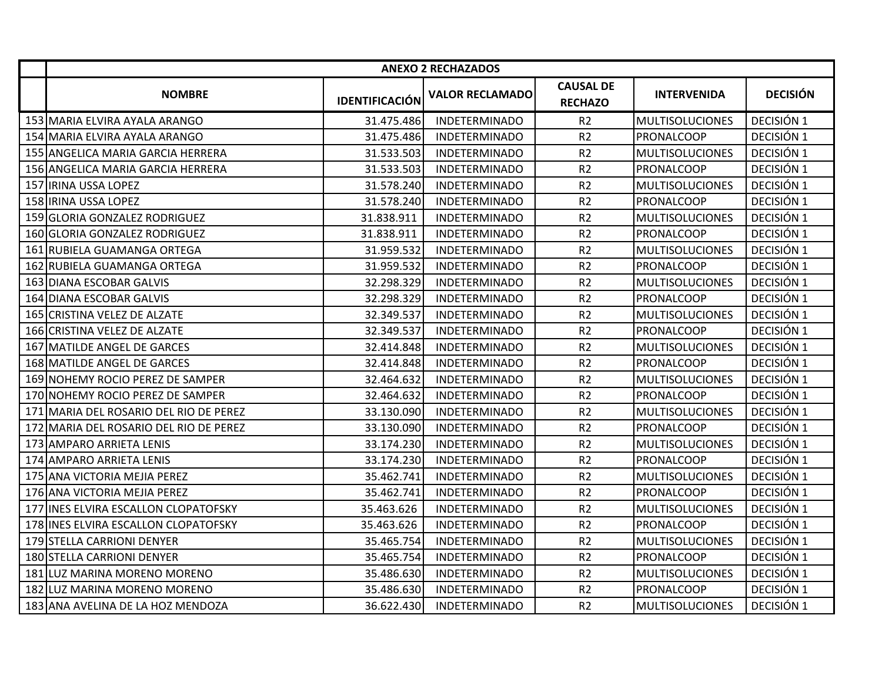|                                        |                       | <b>ANEXO 2 RECHAZADOS</b> |                                    |                        |                 |
|----------------------------------------|-----------------------|---------------------------|------------------------------------|------------------------|-----------------|
| <b>NOMBRE</b>                          | <b>IDENTIFICACIÓN</b> | <b>VALOR RECLAMADO</b>    | <b>CAUSAL DE</b><br><b>RECHAZO</b> | <b>INTERVENIDA</b>     | <b>DECISIÓN</b> |
| 153 MARIA ELVIRA AYALA ARANGO          | 31.475.486            | <b>INDETERMINADO</b>      | R <sub>2</sub>                     | <b>MULTISOLUCIONES</b> | DECISIÓN 1      |
| 154 MARIA ELVIRA AYALA ARANGO          | 31.475.486            | <b>INDETERMINADO</b>      | R2                                 | <b>PRONALCOOP</b>      | DECISIÓN 1      |
| 155 ANGELICA MARIA GARCIA HERRERA      | 31.533.503            | <b>INDETERMINADO</b>      | R2                                 | <b>MULTISOLUCIONES</b> | DECISIÓN 1      |
| 156 ANGELICA MARIA GARCIA HERRERA      | 31.533.503            | <b>INDETERMINADO</b>      | R <sub>2</sub>                     | PRONALCOOP             | DECISIÓN 1      |
| 157 IRINA USSA LOPEZ                   | 31.578.240            | <b>INDETERMINADO</b>      | R <sub>2</sub>                     | <b>MULTISOLUCIONES</b> | DECISIÓN 1      |
| 158 IRINA USSA LOPEZ                   | 31.578.240            | <b>INDETERMINADO</b>      | R <sub>2</sub>                     | PRONALCOOP             | DECISIÓN 1      |
| 159 GLORIA GONZALEZ RODRIGUEZ          | 31.838.911            | <b>INDETERMINADO</b>      | R2                                 | <b>MULTISOLUCIONES</b> | DECISIÓN 1      |
| 160 GLORIA GONZALEZ RODRIGUEZ          | 31.838.911            | <b>INDETERMINADO</b>      | R <sub>2</sub>                     | PRONALCOOP             | DECISIÓN 1      |
| 161 RUBIELA GUAMANGA ORTEGA            | 31.959.532            | <b>INDETERMINADO</b>      | R2                                 | <b>MULTISOLUCIONES</b> | DECISIÓN 1      |
| 162 RUBIELA GUAMANGA ORTEGA            | 31.959.532            | <b>INDETERMINADO</b>      | R <sub>2</sub>                     | <b>PRONALCOOP</b>      | DECISIÓN 1      |
| 163 DIANA ESCOBAR GALVIS               | 32.298.329            | <b>INDETERMINADO</b>      | R <sub>2</sub>                     | <b>MULTISOLUCIONES</b> | DECISIÓN 1      |
| 164 DIANA ESCOBAR GALVIS               | 32.298.329            | <b>INDETERMINADO</b>      | R2                                 | PRONALCOOP             | DECISIÓN 1      |
| 165 CRISTINA VELEZ DE ALZATE           | 32.349.537            | <b>INDETERMINADO</b>      | R <sub>2</sub>                     | <b>MULTISOLUCIONES</b> | DECISIÓN 1      |
| 166 CRISTINA VELEZ DE ALZATE           | 32.349.537            | <b>INDETERMINADO</b>      | R <sub>2</sub>                     | <b>PRONALCOOP</b>      | DECISIÓN 1      |
| 167 MATILDE ANGEL DE GARCES            | 32.414.848            | <b>INDETERMINADO</b>      | R2                                 | <b>MULTISOLUCIONES</b> | DECISIÓN 1      |
| 168 MATILDE ANGEL DE GARCES            | 32.414.848            | <b>INDETERMINADO</b>      | R2                                 | PRONALCOOP             | DECISIÓN 1      |
| 169 NOHEMY ROCIO PEREZ DE SAMPER       | 32.464.632            | <b>INDETERMINADO</b>      | R2                                 | <b>MULTISOLUCIONES</b> | DECISIÓN 1      |
| 170 NOHEMY ROCIO PEREZ DE SAMPER       | 32.464.632            | <b>INDETERMINADO</b>      | R <sub>2</sub>                     | PRONALCOOP             | DECISIÓN 1      |
| 171 MARIA DEL ROSARIO DEL RIO DE PEREZ | 33.130.090            | <b>INDETERMINADO</b>      | R <sub>2</sub>                     | <b>MULTISOLUCIONES</b> | DECISIÓN 1      |
| 172 MARIA DEL ROSARIO DEL RIO DE PEREZ | 33.130.090            | <b>INDETERMINADO</b>      | R2                                 | <b>PRONALCOOP</b>      | DECISIÓN 1      |
| 173 AMPARO ARRIETA LENIS               | 33.174.230            | <b>INDETERMINADO</b>      | R <sub>2</sub>                     | <b>MULTISOLUCIONES</b> | DECISIÓN 1      |
| 174 AMPARO ARRIETA LENIS               | 33.174.230            | <b>INDETERMINADO</b>      | R2                                 | PRONALCOOP             | DECISIÓN 1      |
| 175 ANA VICTORIA MEJIA PEREZ           | 35.462.741            | <b>INDETERMINADO</b>      | R <sub>2</sub>                     | <b>MULTISOLUCIONES</b> | DECISIÓN 1      |
| 176 ANA VICTORIA MEJIA PEREZ           | 35.462.741            | <b>INDETERMINADO</b>      | R <sub>2</sub>                     | PRONALCOOP             | DECISIÓN 1      |
| 177 INES ELVIRA ESCALLON CLOPATOFSKY   | 35.463.626            | <b>INDETERMINADO</b>      | R <sub>2</sub>                     | <b>MULTISOLUCIONES</b> | DECISIÓN 1      |
| 178 INES ELVIRA ESCALLON CLOPATOFSKY   | 35.463.626            | <b>INDETERMINADO</b>      | R <sub>2</sub>                     | PRONALCOOP             | DECISIÓN 1      |
| 179 STELLA CARRIONI DENYER             | 35.465.754            | <b>INDETERMINADO</b>      | R <sub>2</sub>                     | <b>MULTISOLUCIONES</b> | DECISIÓN 1      |
| 180 STELLA CARRIONI DENYER             | 35.465.754            | <b>INDETERMINADO</b>      | R <sub>2</sub>                     | PRONALCOOP             | DECISIÓN 1      |
| 181 LUZ MARINA MORENO MORENO           | 35.486.630            | <b>INDETERMINADO</b>      | R <sub>2</sub>                     | <b>MULTISOLUCIONES</b> | DECISIÓN 1      |
| 182 LUZ MARINA MORENO MORENO           | 35.486.630            | <b>INDETERMINADO</b>      | R2                                 | PRONALCOOP             | DECISIÓN 1      |
| 183 ANA AVELINA DE LA HOZ MENDOZA      | 36.622.430            | <b>INDETERMINADO</b>      | R <sub>2</sub>                     | <b>MULTISOLUCIONES</b> | DECISIÓN 1      |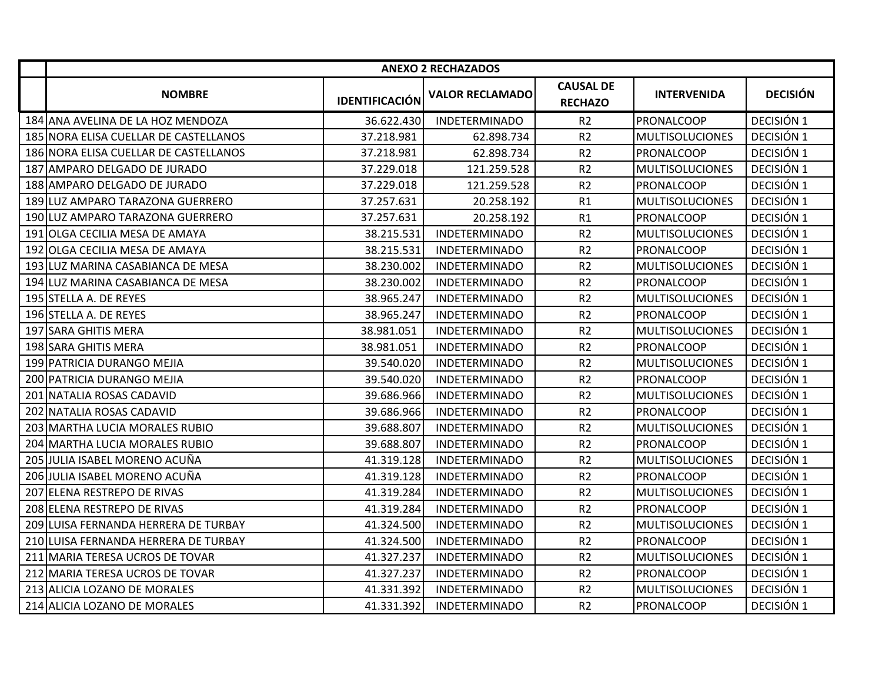|                                       |                       | <b>ANEXO 2 RECHAZADOS</b> |                                    |                        |                 |
|---------------------------------------|-----------------------|---------------------------|------------------------------------|------------------------|-----------------|
| <b>NOMBRE</b>                         | <b>IDENTIFICACIÓN</b> | <b>VALOR RECLAMADO</b>    | <b>CAUSAL DE</b><br><b>RECHAZO</b> | <b>INTERVENIDA</b>     | <b>DECISIÓN</b> |
| 184 ANA AVELINA DE LA HOZ MENDOZA     | 36.622.430            | <b>INDETERMINADO</b>      | R <sub>2</sub>                     | <b>PRONALCOOP</b>      | DECISIÓN 1      |
| 185 NORA ELISA CUELLAR DE CASTELLANOS | 37.218.981            | 62.898.734                | R <sub>2</sub>                     | <b>MULTISOLUCIONES</b> | DECISIÓN 1      |
| 186 NORA ELISA CUELLAR DE CASTELLANOS | 37.218.981            | 62.898.734                | R <sub>2</sub>                     | PRONALCOOP             | DECISIÓN 1      |
| 187 AMPARO DELGADO DE JURADO          | 37.229.018            | 121.259.528               | R <sub>2</sub>                     | <b>MULTISOLUCIONES</b> | DECISIÓN 1      |
| 188 AMPARO DELGADO DE JURADO          | 37.229.018            | 121.259.528               | R <sub>2</sub>                     | PRONALCOOP             | DECISIÓN 1      |
| 189 LUZ AMPARO TARAZONA GUERRERO      | 37.257.631            | 20.258.192                | R1                                 | <b>MULTISOLUCIONES</b> | DECISIÓN 1      |
| 190 LUZ AMPARO TARAZONA GUERRERO      | 37.257.631            | 20.258.192                | R1                                 | PRONALCOOP             | DECISIÓN 1      |
| 191 OLGA CECILIA MESA DE AMAYA        | 38.215.531            | <b>INDETERMINADO</b>      | R <sub>2</sub>                     | <b>MULTISOLUCIONES</b> | DECISIÓN 1      |
| 192 OLGA CECILIA MESA DE AMAYA        | 38.215.531            | <b>INDETERMINADO</b>      | R <sub>2</sub>                     | <b>PRONALCOOP</b>      | DECISIÓN 1      |
| 193 LUZ MARINA CASABIANCA DE MESA     | 38.230.002            | <b>INDETERMINADO</b>      | R <sub>2</sub>                     | <b>MULTISOLUCIONES</b> | DECISIÓN 1      |
| 194 LUZ MARINA CASABIANCA DE MESA     | 38.230.002            | <b>INDETERMINADO</b>      | R <sub>2</sub>                     | PRONALCOOP             | DECISIÓN 1      |
| 195 STELLA A. DE REYES                | 38.965.247            | <b>INDETERMINADO</b>      | R <sub>2</sub>                     | <b>MULTISOLUCIONES</b> | DECISIÓN 1      |
| 196 STELLA A. DE REYES                | 38.965.247            | <b>INDETERMINADO</b>      | R <sub>2</sub>                     | <b>PRONALCOOP</b>      | DECISIÓN 1      |
| 197 SARA GHITIS MERA                  | 38.981.051            | <b>INDETERMINADO</b>      | R <sub>2</sub>                     | <b>MULTISOLUCIONES</b> | DECISIÓN 1      |
| 198 SARA GHITIS MERA                  | 38.981.051            | <b>INDETERMINADO</b>      | R <sub>2</sub>                     | <b>PRONALCOOP</b>      | DECISIÓN 1      |
| 199 PATRICIA DURANGO MEJIA            | 39.540.020            | <b>INDETERMINADO</b>      | R <sub>2</sub>                     | <b>MULTISOLUCIONES</b> | DECISIÓN 1      |
| 200 PATRICIA DURANGO MEJIA            | 39.540.020            | <b>INDETERMINADO</b>      | R2                                 | <b>PRONALCOOP</b>      | DECISIÓN 1      |
| 201 NATALIA ROSAS CADAVID             | 39.686.966            | <b>INDETERMINADO</b>      | R <sub>2</sub>                     | <b>MULTISOLUCIONES</b> | DECISIÓN 1      |
| 202 NATALIA ROSAS CADAVID             | 39.686.966            | <b>INDETERMINADO</b>      | R <sub>2</sub>                     | PRONALCOOP             | DECISIÓN 1      |
| 203 MARTHA LUCIA MORALES RUBIO        | 39.688.807            | <b>INDETERMINADO</b>      | R <sub>2</sub>                     | <b>MULTISOLUCIONES</b> | DECISIÓN 1      |
| 204 MARTHA LUCIA MORALES RUBIO        | 39.688.807            | <b>INDETERMINADO</b>      | R <sub>2</sub>                     | PRONALCOOP             | DECISIÓN 1      |
| 205 JULIA ISABEL MORENO ACUÑA         | 41.319.128            | <b>INDETERMINADO</b>      | R <sub>2</sub>                     | <b>MULTISOLUCIONES</b> | DECISIÓN 1      |
| 206 JULIA ISABEL MORENO ACUÑA         | 41.319.128            | <b>INDETERMINADO</b>      | R <sub>2</sub>                     | PRONALCOOP             | DECISIÓN 1      |
| 207 ELENA RESTREPO DE RIVAS           | 41.319.284            | <b>INDETERMINADO</b>      | R <sub>2</sub>                     | <b>MULTISOLUCIONES</b> | DECISIÓN 1      |
| 208 ELENA RESTREPO DE RIVAS           | 41.319.284            | <b>INDETERMINADO</b>      | R <sub>2</sub>                     | <b>PRONALCOOP</b>      | DECISIÓN 1      |
| 209 LUISA FERNANDA HERRERA DE TURBAY  | 41.324.500            | <b>INDETERMINADO</b>      | R <sub>2</sub>                     | <b>MULTISOLUCIONES</b> | DECISIÓN 1      |
| 210 LUISA FERNANDA HERRERA DE TURBAY  | 41.324.500            | <b>INDETERMINADO</b>      | R <sub>2</sub>                     | PRONALCOOP             | DECISIÓN 1      |
| 211 MARIA TERESA UCROS DE TOVAR       | 41.327.237            | <b>INDETERMINADO</b>      | R <sub>2</sub>                     | <b>MULTISOLUCIONES</b> | DECISIÓN 1      |
| 212 MARIA TERESA UCROS DE TOVAR       | 41.327.237            | <b>INDETERMINADO</b>      | R <sub>2</sub>                     | PRONALCOOP             | DECISIÓN 1      |
| 213 ALICIA LOZANO DE MORALES          | 41.331.392            | <b>INDETERMINADO</b>      | R2                                 | <b>MULTISOLUCIONES</b> | DECISIÓN 1      |
| 214 ALICIA LOZANO DE MORALES          | 41.331.392            | <b>INDETERMINADO</b>      | R <sub>2</sub>                     | <b>PRONALCOOP</b>      | DECISIÓN 1      |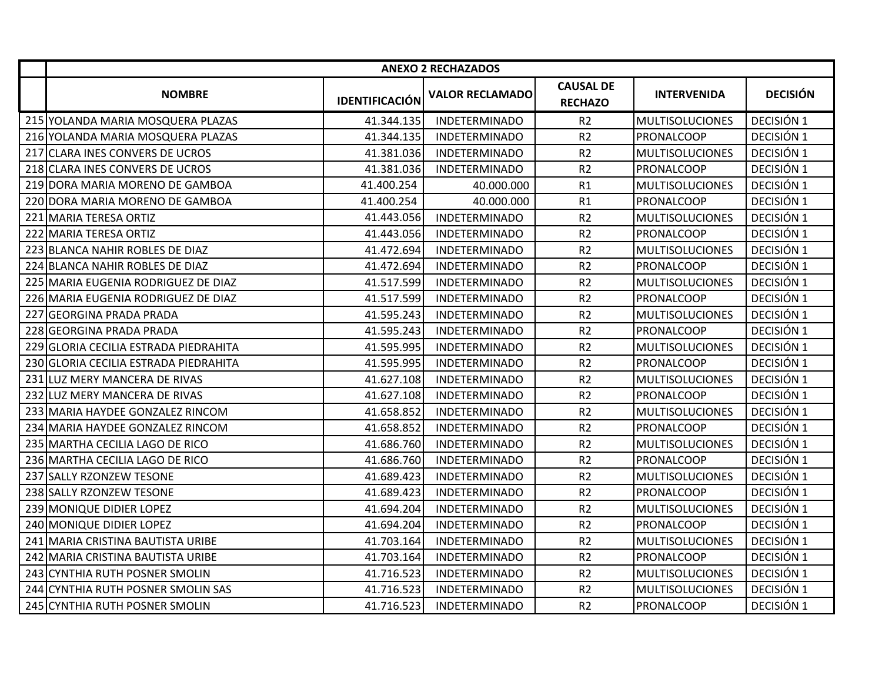|                                       |                       | <b>ANEXO 2 RECHAZADOS</b> |                                    |                        |                 |
|---------------------------------------|-----------------------|---------------------------|------------------------------------|------------------------|-----------------|
| <b>NOMBRE</b>                         | <b>IDENTIFICACIÓN</b> | <b>VALOR RECLAMADO</b>    | <b>CAUSAL DE</b><br><b>RECHAZO</b> | <b>INTERVENIDA</b>     | <b>DECISIÓN</b> |
| 215 YOLANDA MARIA MOSQUERA PLAZAS     | 41.344.135            | <b>INDETERMINADO</b>      | R <sub>2</sub>                     | <b>MULTISOLUCIONES</b> | DECISIÓN 1      |
| 216 YOLANDA MARIA MOSQUERA PLAZAS     | 41.344.135            | <b>INDETERMINADO</b>      | R2                                 | <b>PRONALCOOP</b>      | DECISIÓN 1      |
| 217 CLARA INES CONVERS DE UCROS       | 41.381.036            | <b>INDETERMINADO</b>      | R2                                 | <b>MULTISOLUCIONES</b> | DECISIÓN 1      |
| 218 CLARA INES CONVERS DE UCROS       | 41.381.036            | <b>INDETERMINADO</b>      | R2                                 | PRONALCOOP             | DECISIÓN 1      |
| 219 DORA MARIA MORENO DE GAMBOA       | 41.400.254            | 40.000.000                | R1                                 | <b>MULTISOLUCIONES</b> | DECISIÓN 1      |
| 220 DORA MARIA MORENO DE GAMBOA       | 41.400.254            | 40.000.000                | R1                                 | PRONALCOOP             | DECISIÓN 1      |
| 221 MARIA TERESA ORTIZ                | 41.443.056            | <b>INDETERMINADO</b>      | R2                                 | <b>MULTISOLUCIONES</b> | DECISIÓN 1      |
| 222 MARIA TERESA ORTIZ                | 41.443.056            | <b>INDETERMINADO</b>      | R <sub>2</sub>                     | <b>PRONALCOOP</b>      | DECISIÓN 1      |
| 223 BLANCA NAHIR ROBLES DE DIAZ       | 41.472.694            | <b>INDETERMINADO</b>      | R2                                 | <b>MULTISOLUCIONES</b> | DECISIÓN 1      |
| 224 BLANCA NAHIR ROBLES DE DIAZ       | 41.472.694            | <b>INDETERMINADO</b>      | R2                                 | PRONALCOOP             | DECISIÓN 1      |
| 225 MARIA EUGENIA RODRIGUEZ DE DIAZ   | 41.517.599            | <b>INDETERMINADO</b>      | R <sub>2</sub>                     | <b>MULTISOLUCIONES</b> | DECISIÓN 1      |
| 226 MARIA EUGENIA RODRIGUEZ DE DIAZ   | 41.517.599            | <b>INDETERMINADO</b>      | R <sub>2</sub>                     | PRONALCOOP             | DECISIÓN 1      |
| 227 GEORGINA PRADA PRADA              | 41.595.243            | <b>INDETERMINADO</b>      | R2                                 | <b>MULTISOLUCIONES</b> | DECISIÓN 1      |
| 228 GEORGINA PRADA PRADA              | 41.595.243            | <b>INDETERMINADO</b>      | R <sub>2</sub>                     | <b>PRONALCOOP</b>      | DECISIÓN 1      |
| 229 GLORIA CECILIA ESTRADA PIEDRAHITA | 41.595.995            | <b>INDETERMINADO</b>      | R <sub>2</sub>                     | <b>MULTISOLUCIONES</b> | DECISIÓN 1      |
| 230 GLORIA CECILIA ESTRADA PIEDRAHITA | 41.595.995            | <b>INDETERMINADO</b>      | R <sub>2</sub>                     | PRONALCOOP             | DECISIÓN 1      |
| 231 LUZ MERY MANCERA DE RIVAS         | 41.627.108            | <b>INDETERMINADO</b>      | R <sub>2</sub>                     | <b>MULTISOLUCIONES</b> | DECISIÓN 1      |
| 232 LUZ MERY MANCERA DE RIVAS         | 41.627.108            | <b>INDETERMINADO</b>      | R2                                 | PRONALCOOP             | DECISIÓN 1      |
| 233 MARIA HAYDEE GONZALEZ RINCOM      | 41.658.852            | <b>INDETERMINADO</b>      | R2                                 | <b>MULTISOLUCIONES</b> | DECISIÓN 1      |
| 234 MARIA HAYDEE GONZALEZ RINCOM      | 41.658.852            | <b>INDETERMINADO</b>      | R2                                 | <b>PRONALCOOP</b>      | DECISIÓN 1      |
| 235 MARTHA CECILIA LAGO DE RICO       | 41.686.760            | <b>INDETERMINADO</b>      | R2                                 | <b>MULTISOLUCIONES</b> | DECISIÓN 1      |
| 236 MARTHA CECILIA LAGO DE RICO       | 41.686.760            | <b>INDETERMINADO</b>      | R2                                 | PRONALCOOP             | DECISIÓN 1      |
| 237 SALLY RZONZEW TESONE              | 41.689.423            | <b>INDETERMINADO</b>      | R <sub>2</sub>                     | <b>MULTISOLUCIONES</b> | DECISIÓN 1      |
| 238 SALLY RZONZEW TESONE              | 41.689.423            | <b>INDETERMINADO</b>      | R <sub>2</sub>                     | PRONALCOOP             | DECISIÓN 1      |
| 239 MONIQUE DIDIER LOPEZ              | 41.694.204            | <b>INDETERMINADO</b>      | R <sub>2</sub>                     | <b>MULTISOLUCIONES</b> | DECISIÓN 1      |
| 240 MONIQUE DIDIER LOPEZ              | 41.694.204            | <b>INDETERMINADO</b>      | R2                                 | <b>PRONALCOOP</b>      | DECISIÓN 1      |
| 241 MARIA CRISTINA BAUTISTA URIBE     | 41.703.164            | <b>INDETERMINADO</b>      | R <sub>2</sub>                     | <b>MULTISOLUCIONES</b> | DECISIÓN 1      |
| 242 MARIA CRISTINA BAUTISTA URIBE     | 41.703.164            | <b>INDETERMINADO</b>      | R2                                 | PRONALCOOP             | DECISIÓN 1      |
| 243 CYNTHIA RUTH POSNER SMOLIN        | 41.716.523            | <b>INDETERMINADO</b>      | R2                                 | <b>MULTISOLUCIONES</b> | DECISIÓN 1      |
| 244 CYNTHIA RUTH POSNER SMOLIN SAS    | 41.716.523            | <b>INDETERMINADO</b>      | R <sub>2</sub>                     | <b>MULTISOLUCIONES</b> | DECISIÓN 1      |
| 245 CYNTHIA RUTH POSNER SMOLIN        | 41.716.523            | <b>INDETERMINADO</b>      | R <sub>2</sub>                     | PRONALCOOP             | DECISIÓN 1      |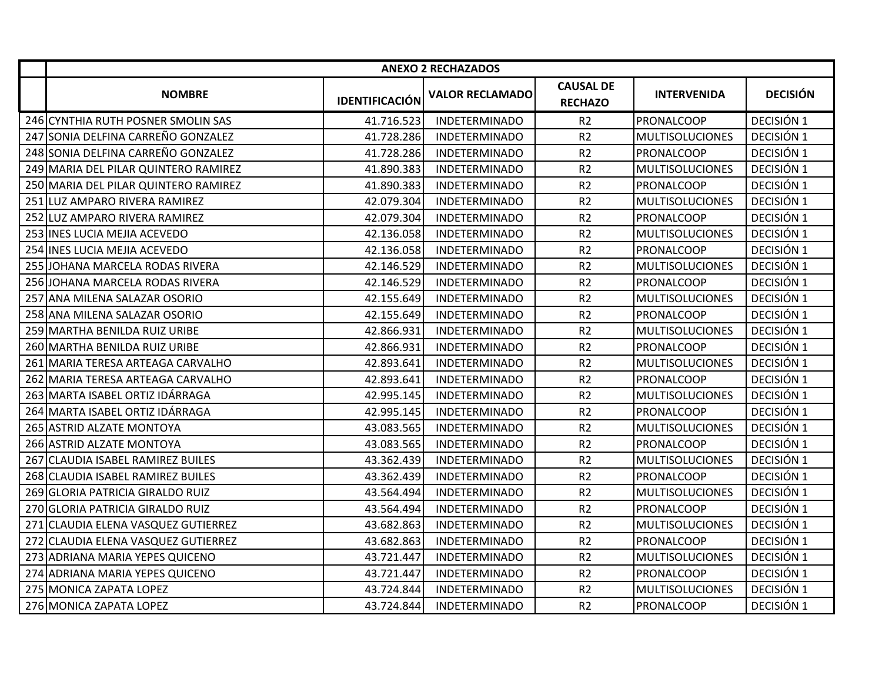|                                      |                       | <b>ANEXO 2 RECHAZADOS</b> |                                    |                        |                 |
|--------------------------------------|-----------------------|---------------------------|------------------------------------|------------------------|-----------------|
| <b>NOMBRE</b>                        | <b>IDENTIFICACIÓN</b> | <b>VALOR RECLAMADO</b>    | <b>CAUSAL DE</b><br><b>RECHAZO</b> | <b>INTERVENIDA</b>     | <b>DECISIÓN</b> |
| 246 CYNTHIA RUTH POSNER SMOLIN SAS   | 41.716.523            | <b>INDETERMINADO</b>      | R <sub>2</sub>                     | <b>PRONALCOOP</b>      | DECISIÓN 1      |
| 247 SONIA DELFINA CARREÑO GONZALEZ   | 41.728.286            | <b>INDETERMINADO</b>      | R <sub>2</sub>                     | <b>MULTISOLUCIONES</b> | DECISIÓN 1      |
| 248 SONIA DELFINA CARREÑO GONZALEZ   | 41.728.286            | <b>INDETERMINADO</b>      | R <sub>2</sub>                     | PRONALCOOP             | DECISIÓN 1      |
| 249 MARIA DEL PILAR QUINTERO RAMIREZ | 41.890.383            | <b>INDETERMINADO</b>      | R <sub>2</sub>                     | <b>MULTISOLUCIONES</b> | DECISIÓN 1      |
| 250 MARIA DEL PILAR QUINTERO RAMIREZ | 41.890.383            | <b>INDETERMINADO</b>      | R <sub>2</sub>                     | PRONALCOOP             | DECISIÓN 1      |
| 251 ILUZ AMPARO RIVERA RAMIREZ       | 42.079.304            | <b>INDETERMINADO</b>      | R <sub>2</sub>                     | <b>MULTISOLUCIONES</b> | DECISIÓN 1      |
| 252 LUZ AMPARO RIVERA RAMIREZ        | 42.079.304            | <b>INDETERMINADO</b>      | R2                                 | PRONALCOOP             | DECISIÓN 1      |
| 253 INES LUCIA MEJIA ACEVEDO         | 42.136.058            | <b>INDETERMINADO</b>      | R <sub>2</sub>                     | <b>MULTISOLUCIONES</b> | DECISIÓN 1      |
| 254 INES LUCIA MEJIA ACEVEDO         | 42.136.058            | <b>INDETERMINADO</b>      | R <sub>2</sub>                     | PRONALCOOP             | DECISIÓN 1      |
| 255 JOHANA MARCELA RODAS RIVERA      | 42.146.529            | <b>INDETERMINADO</b>      | R <sub>2</sub>                     | <b>MULTISOLUCIONES</b> | DECISIÓN 1      |
| 256 JOHANA MARCELA RODAS RIVERA      | 42.146.529            | <b>INDETERMINADO</b>      | R <sub>2</sub>                     | PRONALCOOP             | DECISIÓN 1      |
| 257 ANA MILENA SALAZAR OSORIO        | 42.155.649            | <b>INDETERMINADO</b>      | R <sub>2</sub>                     | <b>MULTISOLUCIONES</b> | DECISIÓN 1      |
| 258 ANA MILENA SALAZAR OSORIO        | 42.155.649            | <b>INDETERMINADO</b>      | R <sub>2</sub>                     | <b>PRONALCOOP</b>      | DECISIÓN 1      |
| 259 MARTHA BENILDA RUIZ URIBE        | 42.866.931            | <b>INDETERMINADO</b>      | R <sub>2</sub>                     | <b>MULTISOLUCIONES</b> | DECISIÓN 1      |
| 260 MARTHA BENILDA RUIZ URIBE        | 42.866.931            | <b>INDETERMINADO</b>      | R <sub>2</sub>                     | <b>PRONALCOOP</b>      | DECISIÓN 1      |
| 261 MARIA TERESA ARTEAGA CARVALHO    | 42.893.641            | <b>INDETERMINADO</b>      | R <sub>2</sub>                     | <b>MULTISOLUCIONES</b> | DECISIÓN 1      |
| 262 MARIA TERESA ARTEAGA CARVALHO    | 42.893.641            | <b>INDETERMINADO</b>      | R2                                 | PRONALCOOP             | DECISIÓN 1      |
| 263 MARTA ISABEL ORTIZ IDÁRRAGA      | 42.995.145            | <b>INDETERMINADO</b>      | R <sub>2</sub>                     | <b>MULTISOLUCIONES</b> | DECISIÓN 1      |
| 264 MARTA ISABEL ORTIZ IDÁRRAGA      | 42.995.145            | <b>INDETERMINADO</b>      | R2                                 | PRONALCOOP             | DECISIÓN 1      |
| 265 ASTRID ALZATE MONTOYA            | 43.083.565            | <b>INDETERMINADO</b>      | R2                                 | <b>MULTISOLUCIONES</b> | DECISIÓN 1      |
| 266 ASTRID ALZATE MONTOYA            | 43.083.565            | <b>INDETERMINADO</b>      | R <sub>2</sub>                     | PRONALCOOP             | DECISIÓN 1      |
| 267 CLAUDIA ISABEL RAMIREZ BUILES    | 43.362.439            | <b>INDETERMINADO</b>      | R <sub>2</sub>                     | <b>MULTISOLUCIONES</b> | DECISIÓN 1      |
| 268 CLAUDIA ISABEL RAMIREZ BUILES    | 43.362.439            | <b>INDETERMINADO</b>      | R <sub>2</sub>                     | PRONALCOOP             | DECISIÓN 1      |
| 269 GLORIA PATRICIA GIRALDO RUIZ     | 43.564.494            | <b>INDETERMINADO</b>      | R <sub>2</sub>                     | <b>MULTISOLUCIONES</b> | DECISIÓN 1      |
| 270 GLORIA PATRICIA GIRALDO RUIZ     | 43.564.494            | <b>INDETERMINADO</b>      | R <sub>2</sub>                     | <b>PRONALCOOP</b>      | DECISIÓN 1      |
| 271 CLAUDIA ELENA VASQUEZ GUTIERREZ  | 43.682.863            | <b>INDETERMINADO</b>      | R <sub>2</sub>                     | <b>MULTISOLUCIONES</b> | DECISIÓN 1      |
| 272 CLAUDIA ELENA VASQUEZ GUTIERREZ  | 43.682.863            | <b>INDETERMINADO</b>      | R <sub>2</sub>                     | PRONALCOOP             | DECISIÓN 1      |
| 273 ADRIANA MARIA YEPES QUICENO      | 43.721.447            | <b>INDETERMINADO</b>      | R <sub>2</sub>                     | <b>MULTISOLUCIONES</b> | DECISIÓN 1      |
| 274 ADRIANA MARIA YEPES QUICENO      | 43.721.447            | <b>INDETERMINADO</b>      | R <sub>2</sub>                     | PRONALCOOP             | DECISIÓN 1      |
| 275 MONICA ZAPATA LOPEZ              | 43.724.844            | <b>INDETERMINADO</b>      | R2                                 | <b>MULTISOLUCIONES</b> | DECISIÓN 1      |
| 276 MONICA ZAPATA LOPEZ              | 43.724.844            | <b>INDETERMINADO</b>      | R <sub>2</sub>                     | PRONALCOOP             | DECISIÓN 1      |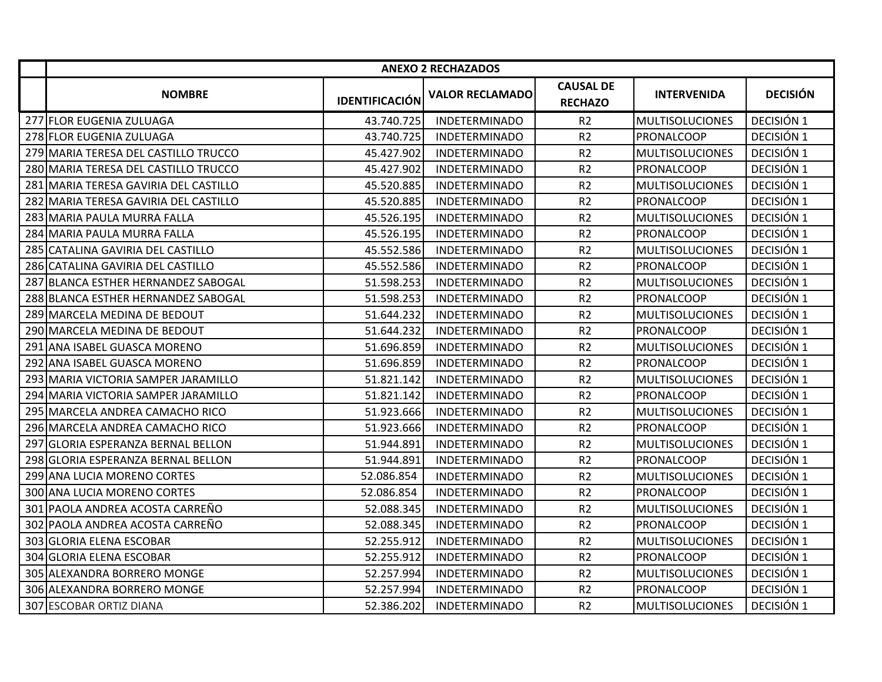|                                       |                       | <b>ANEXO 2 RECHAZADOS</b> |                                    |                        |                 |
|---------------------------------------|-----------------------|---------------------------|------------------------------------|------------------------|-----------------|
| <b>NOMBRE</b>                         | <b>IDENTIFICACIÓN</b> | <b>VALOR RECLAMADO</b>    | <b>CAUSAL DE</b><br><b>RECHAZO</b> | <b>INTERVENIDA</b>     | <b>DECISIÓN</b> |
| 277 FLOR EUGENIA ZULUAGA              | 43.740.725            | <b>INDETERMINADO</b>      | R <sub>2</sub>                     | <b>MULTISOLUCIONES</b> | DECISIÓN 1      |
| 278 FLOR EUGENIA ZULUAGA              | 43.740.725            | <b>INDETERMINADO</b>      | R <sub>2</sub>                     | PRONALCOOP             | DECISIÓN 1      |
| 279 MARIA TERESA DEL CASTILLO TRUCCO  | 45.427.902            | <b>INDETERMINADO</b>      | R <sub>2</sub>                     | <b>MULTISOLUCIONES</b> | DECISIÓN 1      |
| 280 MARIA TERESA DEL CASTILLO TRUCCO  | 45.427.902            | <b>INDETERMINADO</b>      | R <sub>2</sub>                     | PRONALCOOP             | DECISIÓN 1      |
| 281 MARIA TERESA GAVIRIA DEL CASTILLO | 45.520.885            | <b>INDETERMINADO</b>      | R <sub>2</sub>                     | <b>MULTISOLUCIONES</b> | DECISIÓN 1      |
| 282 MARIA TERESA GAVIRIA DEL CASTILLO | 45.520.885            | <b>INDETERMINADO</b>      | R <sub>2</sub>                     | PRONALCOOP             | DECISIÓN 1      |
| 283 MARIA PAULA MURRA FALLA           | 45.526.195            | <b>INDETERMINADO</b>      | R <sub>2</sub>                     | <b>MULTISOLUCIONES</b> | DECISIÓN 1      |
| 284 MARIA PAULA MURRA FALLA           | 45.526.195            | <b>INDETERMINADO</b>      | R <sub>2</sub>                     | PRONALCOOP             | DECISIÓN 1      |
| 285 CATALINA GAVIRIA DEL CASTILLO     | 45.552.586            | <b>INDETERMINADO</b>      | R <sub>2</sub>                     | <b>MULTISOLUCIONES</b> | DECISIÓN 1      |
| 286 CATALINA GAVIRIA DEL CASTILLO     | 45.552.586            | <b>INDETERMINADO</b>      | R2                                 | PRONALCOOP             | DECISIÓN 1      |
| 287 BLANCA ESTHER HERNANDEZ SABOGAL   | 51.598.253            | <b>INDETERMINADO</b>      | R <sub>2</sub>                     | <b>MULTISOLUCIONES</b> | DECISIÓN 1      |
| 288 BLANCA ESTHER HERNANDEZ SABOGAL   | 51.598.253            | <b>INDETERMINADO</b>      | R <sub>2</sub>                     | PRONALCOOP             | DECISIÓN 1      |
| 289 MARCELA MEDINA DE BEDOUT          | 51.644.232            | <b>INDETERMINADO</b>      | R <sub>2</sub>                     | <b>MULTISOLUCIONES</b> | DECISIÓN 1      |
| 290 MARCELA MEDINA DE BEDOUT          | 51.644.232            | <b>INDETERMINADO</b>      | R <sub>2</sub>                     | PRONALCOOP             | DECISIÓN 1      |
| 291 ANA ISABEL GUASCA MORENO          | 51.696.859            | <b>INDETERMINADO</b>      | R <sub>2</sub>                     | <b>MULTISOLUCIONES</b> | DECISIÓN 1      |
| 292 ANA ISABEL GUASCA MORENO          | 51.696.859            | <b>INDETERMINADO</b>      | R <sub>2</sub>                     | PRONALCOOP             | DECISIÓN 1      |
| 293 IMARIA VICTORIA SAMPER JARAMILLO  | 51.821.142            | <b>INDETERMINADO</b>      | R <sub>2</sub>                     | <b>MULTISOLUCIONES</b> | DECISIÓN 1      |
| 294 MARIA VICTORIA SAMPER JARAMILLO   | 51.821.142            | <b>INDETERMINADO</b>      | R <sub>2</sub>                     | PRONALCOOP             | DECISIÓN 1      |
| 295 MARCELA ANDREA CAMACHO RICO       | 51.923.666            | <b>INDETERMINADO</b>      | R <sub>2</sub>                     | <b>MULTISOLUCIONES</b> | DECISIÓN 1      |
| 296 MARCELA ANDREA CAMACHO RICO       | 51.923.666            | <b>INDETERMINADO</b>      | R <sub>2</sub>                     | PRONALCOOP             | DECISIÓN 1      |
| 297 GLORIA ESPERANZA BERNAL BELLON    | 51.944.891            | <b>INDETERMINADO</b>      | R <sub>2</sub>                     | <b>MULTISOLUCIONES</b> | DECISIÓN 1      |
| 298 GLORIA ESPERANZA BERNAL BELLON    | 51.944.891            | <b>INDETERMINADO</b>      | R <sub>2</sub>                     | PRONALCOOP             | DECISIÓN 1      |
| 299 ANA LUCIA MORENO CORTES           | 52.086.854            | <b>INDETERMINADO</b>      | R <sub>2</sub>                     | <b>MULTISOLUCIONES</b> | DECISIÓN 1      |
| 300 ANA LUCIA MORENO CORTES           | 52.086.854            | <b>INDETERMINADO</b>      | R <sub>2</sub>                     | PRONALCOOP             | DECISIÓN 1      |
| 301 PAOLA ANDREA ACOSTA CARREÑO       | 52.088.345            | <b>INDETERMINADO</b>      | R <sub>2</sub>                     | <b>MULTISOLUCIONES</b> | DECISIÓN 1      |
| 302 PAOLA ANDREA ACOSTA CARREÑO       | 52.088.345            | <b>INDETERMINADO</b>      | R <sub>2</sub>                     | <b>PRONALCOOP</b>      | DECISIÓN 1      |
| 303 GLORIA ELENA ESCOBAR              | 52.255.912            | <b>INDETERMINADO</b>      | R <sub>2</sub>                     | <b>MULTISOLUCIONES</b> | DECISIÓN 1      |
| 304 GLORIA ELENA ESCOBAR              | 52.255.912            | <b>INDETERMINADO</b>      | R <sub>2</sub>                     | PRONALCOOP             | DECISIÓN 1      |
| 305 ALEXANDRA BORRERO MONGE           | 52.257.994            | <b>INDETERMINADO</b>      | R <sub>2</sub>                     | <b>MULTISOLUCIONES</b> | DECISIÓN 1      |
| 306 ALEXANDRA BORRERO MONGE           | 52.257.994            | <b>INDETERMINADO</b>      | R <sub>2</sub>                     | PRONALCOOP             | DECISIÓN 1      |
| 307 ESCOBAR ORTIZ DIANA               | 52.386.202            | <b>INDETERMINADO</b>      | R <sub>2</sub>                     | <b>MULTISOLUCIONES</b> | DECISIÓN 1      |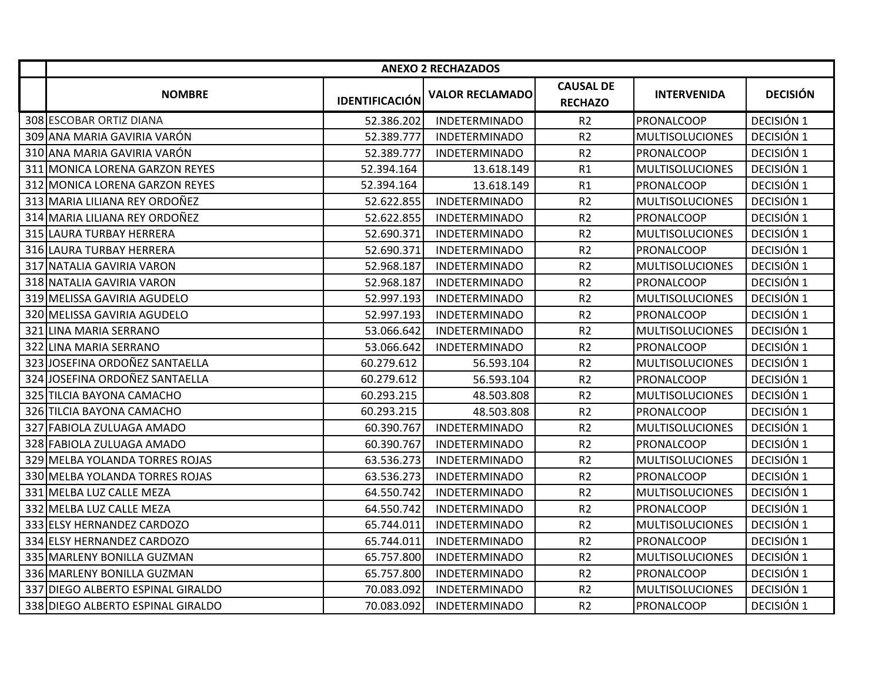|                                   |                       | <b>ANEXO 2 RECHAZADOS</b> |                                    |                        |                 |
|-----------------------------------|-----------------------|---------------------------|------------------------------------|------------------------|-----------------|
| <b>NOMBRE</b>                     | <b>IDENTIFICACIÓN</b> | <b>VALOR RECLAMADO</b>    | <b>CAUSAL DE</b><br><b>RECHAZO</b> | <b>INTERVENIDA</b>     | <b>DECISIÓN</b> |
| 308 ESCOBAR ORTIZ DIANA           | 52.386.202            | <b>INDETERMINADO</b>      | R <sub>2</sub>                     | PRONALCOOP             | DECISIÓN 1      |
| 309 ANA MARIA GAVIRIA VARÓN       | 52.389.777            | <b>INDETERMINADO</b>      | R <sub>2</sub>                     | <b>MULTISOLUCIONES</b> | DECISIÓN 1      |
| 310 ANA MARIA GAVIRIA VARÓN       | 52.389.777            | <b>INDETERMINADO</b>      | R <sub>2</sub>                     | <b>PRONALCOOP</b>      | DECISIÓN 1      |
| 311 MONICA LORENA GARZON REYES    | 52.394.164            | 13.618.149                | R1                                 | <b>MULTISOLUCIONES</b> | DECISIÓN 1      |
| 312 MONICA LORENA GARZON REYES    | 52.394.164            | 13.618.149                | R1                                 | PRONALCOOP             | DECISIÓN 1      |
| 313 MARIA LILIANA REY ORDOÑEZ     | 52.622.855            | <b>INDETERMINADO</b>      | R <sub>2</sub>                     | <b>MULTISOLUCIONES</b> | DECISIÓN 1      |
| 314 MARIA LILIANA REY ORDOÑEZ     | 52.622.855            | <b>INDETERMINADO</b>      | R2                                 | PRONALCOOP             | DECISIÓN 1      |
| 315 LAURA TURBAY HERRERA          | 52.690.371            | <b>INDETERMINADO</b>      | R2                                 | <b>MULTISOLUCIONES</b> | DECISIÓN 1      |
| 316 LAURA TURBAY HERRERA          | 52.690.371            | <b>INDETERMINADO</b>      | R <sub>2</sub>                     | PRONALCOOP             | DECISIÓN 1      |
| 317 NATALIA GAVIRIA VARON         | 52.968.187            | <b>INDETERMINADO</b>      | R <sub>2</sub>                     | <b>MULTISOLUCIONES</b> | DECISIÓN 1      |
| 318 NATALIA GAVIRIA VARON         | 52.968.187            | <b>INDETERMINADO</b>      | R <sub>2</sub>                     | PRONALCOOP             | DECISIÓN 1      |
| 319 MELISSA GAVIRIA AGUDELO       | 52.997.193            | <b>INDETERMINADO</b>      | R <sub>2</sub>                     | <b>MULTISOLUCIONES</b> | DECISIÓN 1      |
| 320 MELISSA GAVIRIA AGUDELO       | 52.997.193            | <b>INDETERMINADO</b>      | R <sub>2</sub>                     | PRONALCOOP             | DECISIÓN 1      |
| 321 LINA MARIA SERRANO            | 53.066.642            | <b>INDETERMINADO</b>      | R <sub>2</sub>                     | <b>MULTISOLUCIONES</b> | DECISIÓN 1      |
| 322 LINA MARIA SERRANO            | 53.066.642            | <b>INDETERMINADO</b>      | R <sub>2</sub>                     | PRONALCOOP             | DECISIÓN 1      |
| 323 JOSEFINA ORDOÑEZ SANTAELLA    | 60.279.612            | 56.593.104                | R <sub>2</sub>                     | <b>MULTISOLUCIONES</b> | DECISIÓN 1      |
| 324 JOSEFINA ORDOÑEZ SANTAELLA    | 60.279.612            | 56.593.104                | R <sub>2</sub>                     | PRONALCOOP             | DECISIÓN 1      |
| 325 TILCIA BAYONA CAMACHO         | 60.293.215            | 48.503.808                | R <sub>2</sub>                     | <b>MULTISOLUCIONES</b> | DECISIÓN 1      |
| 326 TILCIA BAYONA CAMACHO         | 60.293.215            | 48.503.808                | R2                                 | PRONALCOOP             | DECISIÓN 1      |
| 327 FABIOLA ZULUAGA AMADO         | 60.390.767            | <b>INDETERMINADO</b>      | R <sub>2</sub>                     | <b>MULTISOLUCIONES</b> | DECISIÓN 1      |
| 328 FABIOLA ZULUAGA AMADO         | 60.390.767            | <b>INDETERMINADO</b>      | R <sub>2</sub>                     | PRONALCOOP             | DECISIÓN 1      |
| 329 MELBA YOLANDA TORRES ROJAS    | 63.536.273            | <b>INDETERMINADO</b>      | R <sub>2</sub>                     | <b>MULTISOLUCIONES</b> | DECISIÓN 1      |
| 330 MELBA YOLANDA TORRES ROJAS    | 63.536.273            | <b>INDETERMINADO</b>      | R <sub>2</sub>                     | PRONALCOOP             | DECISIÓN 1      |
| 331 MELBA LUZ CALLE MEZA          | 64.550.742            | <b>INDETERMINADO</b>      | R <sub>2</sub>                     | <b>MULTISOLUCIONES</b> | DECISIÓN 1      |
| 332 MELBA LUZ CALLE MEZA          | 64.550.742            | <b>INDETERMINADO</b>      | R <sub>2</sub>                     | PRONALCOOP             | DECISIÓN 1      |
| 333 ELSY HERNANDEZ CARDOZO        | 65.744.011            | <b>INDETERMINADO</b>      | R <sub>2</sub>                     | <b>MULTISOLUCIONES</b> | DECISIÓN 1      |
| 334 ELSY HERNANDEZ CARDOZO        | 65.744.011            | <b>INDETERMINADO</b>      | R <sub>2</sub>                     | PRONALCOOP             | DECISIÓN 1      |
| 335 MARLENY BONILLA GUZMAN        | 65.757.800            | <b>INDETERMINADO</b>      | R <sub>2</sub>                     | <b>MULTISOLUCIONES</b> | DECISIÓN 1      |
| 336 MARLENY BONILLA GUZMAN        | 65.757.800            | <b>INDETERMINADO</b>      | R <sub>2</sub>                     | PRONALCOOP             | DECISIÓN 1      |
| 337 DIEGO ALBERTO ESPINAL GIRALDO | 70.083.092            | <b>INDETERMINADO</b>      | R2                                 | <b>MULTISOLUCIONES</b> | DECISIÓN 1      |
| 338 DIEGO ALBERTO ESPINAL GIRALDO | 70.083.092            | <b>INDETERMINADO</b>      | R <sub>2</sub>                     | PRONALCOOP             | DECISIÓN 1      |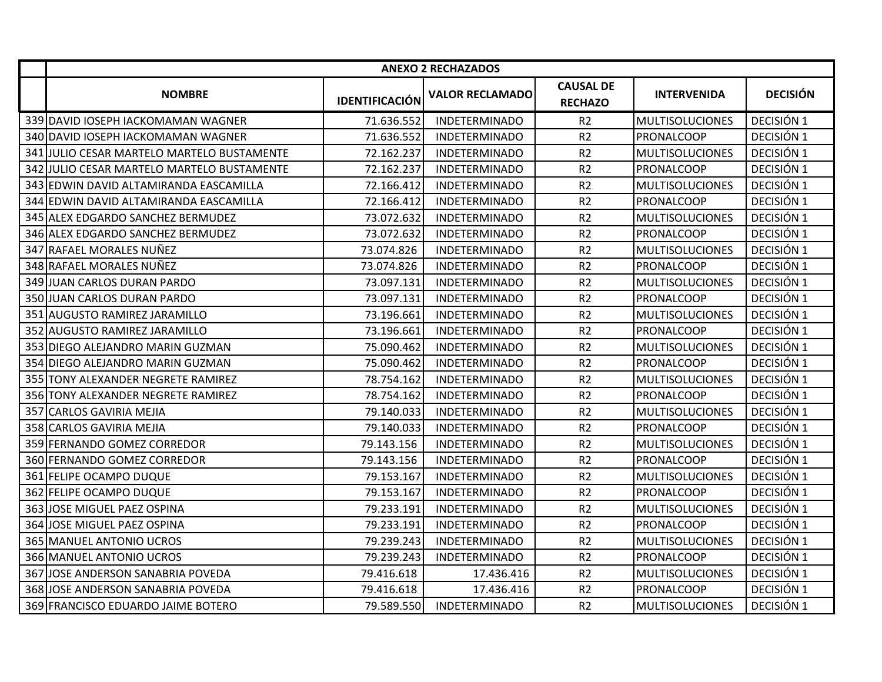|     |                                            |                       | <b>ANEXO 2 RECHAZADOS</b> |                                    |                        |                 |
|-----|--------------------------------------------|-----------------------|---------------------------|------------------------------------|------------------------|-----------------|
|     | <b>NOMBRE</b>                              | <b>IDENTIFICACIÓN</b> | <b>VALOR RECLAMADO</b>    | <b>CAUSAL DE</b><br><b>RECHAZO</b> | <b>INTERVENIDA</b>     | <b>DECISIÓN</b> |
|     | 339 DAVID IOSEPH IACKOMAMAN WAGNER         | 71.636.552            | <b>INDETERMINADO</b>      | R <sub>2</sub>                     | <b>MULTISOLUCIONES</b> | DECISIÓN 1      |
|     | 340 DAVID IOSEPH IACKOMAMAN WAGNER         | 71.636.552            | <b>INDETERMINADO</b>      | R <sub>2</sub>                     | <b>PRONALCOOP</b>      | DECISIÓN 1      |
|     | 341 JULIO CESAR MARTELO MARTELO BUSTAMENTE | 72.162.237            | <b>INDETERMINADO</b>      | R <sub>2</sub>                     | <b>MULTISOLUCIONES</b> | DECISIÓN 1      |
|     | 342 JULIO CESAR MARTELO MARTELO BUSTAMENTE | 72.162.237            | <b>INDETERMINADO</b>      | R <sub>2</sub>                     | PRONALCOOP             | DECISIÓN 1      |
|     | 343 EDWIN DAVID ALTAMIRANDA EASCAMILLA     | 72.166.412            | <b>INDETERMINADO</b>      | R <sub>2</sub>                     | <b>MULTISOLUCIONES</b> | DECISIÓN 1      |
|     | 344 EDWIN DAVID ALTAMIRANDA EASCAMILLA     | 72.166.412            | <b>INDETERMINADO</b>      | R <sub>2</sub>                     | PRONALCOOP             | DECISIÓN 1      |
|     | 345 ALEX EDGARDO SANCHEZ BERMUDEZ          | 73.072.632            | <b>INDETERMINADO</b>      | R <sub>2</sub>                     | <b>MULTISOLUCIONES</b> | DECISIÓN 1      |
|     | 346 ALEX EDGARDO SANCHEZ BERMUDEZ          | 73.072.632            | <b>INDETERMINADO</b>      | R <sub>2</sub>                     | PRONALCOOP             | DECISIÓN 1      |
|     | 347 RAFAEL MORALES NUÑEZ                   | 73.074.826            | <b>INDETERMINADO</b>      | R2                                 | <b>MULTISOLUCIONES</b> | DECISIÓN 1      |
|     | 348 RAFAEL MORALES NUÑEZ                   | 73.074.826            | <b>INDETERMINADO</b>      | R2                                 | PRONALCOOP             | DECISIÓN 1      |
|     | 349 JUAN CARLOS DURAN PARDO                | 73.097.131            | <b>INDETERMINADO</b>      | R <sub>2</sub>                     | <b>MULTISOLUCIONES</b> | DECISIÓN 1      |
|     | 350 JUAN CARLOS DURAN PARDO                | 73.097.131            | <b>INDETERMINADO</b>      | R <sub>2</sub>                     | PRONALCOOP             | DECISIÓN 1      |
|     | 351 AUGUSTO RAMIREZ JARAMILLO              | 73.196.661            | <b>INDETERMINADO</b>      | R <sub>2</sub>                     | <b>MULTISOLUCIONES</b> | DECISIÓN 1      |
|     | 352 AUGUSTO RAMIREZ JARAMILLO              | 73.196.661            | <b>INDETERMINADO</b>      | R <sub>2</sub>                     | PRONALCOOP             | DECISIÓN 1      |
|     | 353 DIEGO ALEJANDRO MARIN GUZMAN           | 75.090.462            | <b>INDETERMINADO</b>      | R <sub>2</sub>                     | MULTISOLUCIONES        | DECISIÓN 1      |
| 354 | <b>DIEGO ALEJANDRO MARIN GUZMAN</b>        | 75.090.462            | <b>INDETERMINADO</b>      | R <sub>2</sub>                     | PRONALCOOP             | DECISIÓN 1      |
|     | 355 TONY ALEXANDER NEGRETE RAMIREZ         | 78.754.162            | <b>INDETERMINADO</b>      | R <sub>2</sub>                     | <b>MULTISOLUCIONES</b> | DECISIÓN 1      |
|     | 356 TONY ALEXANDER NEGRETE RAMIREZ         | 78.754.162            | <b>INDETERMINADO</b>      | R <sub>2</sub>                     | PRONALCOOP             | DECISIÓN 1      |
| 357 | <b>CARLOS GAVIRIA MEJIA</b>                | 79.140.033            | <b>INDETERMINADO</b>      | R <sub>2</sub>                     | <b>MULTISOLUCIONES</b> | DECISIÓN 1      |
|     | 358 CARLOS GAVIRIA MEJIA                   | 79.140.033            | <b>INDETERMINADO</b>      | R <sub>2</sub>                     | <b>PRONALCOOP</b>      | DECISIÓN 1      |
|     | 359 FERNANDO GOMEZ CORREDOR                | 79.143.156            | <b>INDETERMINADO</b>      | R <sub>2</sub>                     | <b>MULTISOLUCIONES</b> | DECISIÓN 1      |
|     | 360 FERNANDO GOMEZ CORREDOR                | 79.143.156            | <b>INDETERMINADO</b>      | R <sub>2</sub>                     | PRONALCOOP             | DECISIÓN 1      |
|     | 361 FELIPE OCAMPO DUQUE                    | 79.153.167            | <b>INDETERMINADO</b>      | R <sub>2</sub>                     | <b>MULTISOLUCIONES</b> | DECISIÓN 1      |
|     | 362 FELIPE OCAMPO DUQUE                    | 79.153.167            | <b>INDETERMINADO</b>      | R <sub>2</sub>                     | PRONALCOOP             | DECISIÓN 1      |
|     | 363 JOSE MIGUEL PAEZ OSPINA                | 79.233.191            | <b>INDETERMINADO</b>      | R <sub>2</sub>                     | <b>MULTISOLUCIONES</b> | DECISIÓN 1      |
|     | 364 JOSE MIGUEL PAEZ OSPINA                | 79.233.191            | <b>INDETERMINADO</b>      | R <sub>2</sub>                     | <b>PRONALCOOP</b>      | DECISIÓN 1      |
|     | 365 MANUEL ANTONIO UCROS                   | 79.239.243            | <b>INDETERMINADO</b>      | R <sub>2</sub>                     | <b>MULTISOLUCIONES</b> | DECISIÓN 1      |
|     | 366 MANUEL ANTONIO UCROS                   | 79.239.243            | <b>INDETERMINADO</b>      | R <sub>2</sub>                     | PRONALCOOP             | DECISIÓN 1      |
| 367 | JOSE ANDERSON SANABRIA POVEDA              | 79.416.618            | 17.436.416                | R2                                 | <b>MULTISOLUCIONES</b> | DECISIÓN 1      |
| 368 | JOSE ANDERSON SANABRIA POVEDA              | 79.416.618            | 17.436.416                | R2                                 | PRONALCOOP             | DECISIÓN 1      |
|     | 369 FRANCISCO EDUARDO JAIME BOTERO         | 79.589.550            | <b>INDETERMINADO</b>      | R <sub>2</sub>                     | <b>MULTISOLUCIONES</b> | DECISIÓN 1      |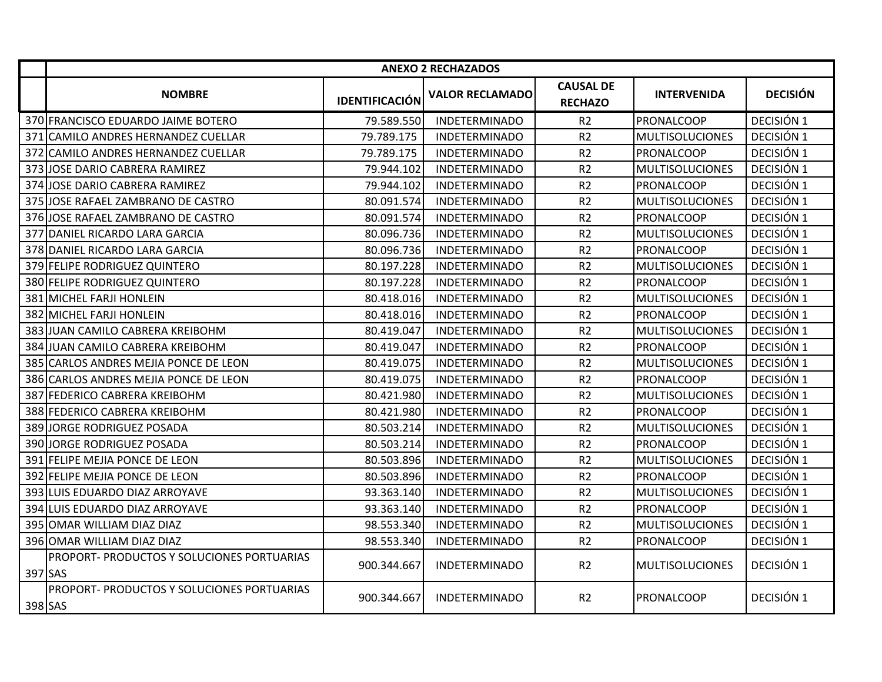|         | <b>ANEXO 2 RECHAZADOS</b>                         |                       |                        |                                    |                        |                 |  |
|---------|---------------------------------------------------|-----------------------|------------------------|------------------------------------|------------------------|-----------------|--|
|         | <b>NOMBRE</b>                                     | <b>IDENTIFICACIÓN</b> | <b>VALOR RECLAMADO</b> | <b>CAUSAL DE</b><br><b>RECHAZO</b> | <b>INTERVENIDA</b>     | <b>DECISIÓN</b> |  |
|         | 370 FRANCISCO EDUARDO JAIME BOTERO                | 79.589.550            | <b>INDETERMINADO</b>   | R2                                 | PRONALCOOP             | DECISIÓN 1      |  |
|         | 371 CAMILO ANDRES HERNANDEZ CUELLAR               | 79.789.175            | <b>INDETERMINADO</b>   | R <sub>2</sub>                     | <b>MULTISOLUCIONES</b> | DECISIÓN 1      |  |
|         | 372 CAMILO ANDRES HERNANDEZ CUELLAR               | 79.789.175            | <b>INDETERMINADO</b>   | R <sub>2</sub>                     | <b>PRONALCOOP</b>      | DECISIÓN 1      |  |
| 373     | JOSE DARIO CABRERA RAMIREZ                        | 79.944.102            | <b>INDETERMINADO</b>   | R <sub>2</sub>                     | <b>MULTISOLUCIONES</b> | DECISIÓN 1      |  |
| 374     | JOSE DARIO CABRERA RAMIREZ                        | 79.944.102            | <b>INDETERMINADO</b>   | R <sub>2</sub>                     | PRONALCOOP             | DECISIÓN 1      |  |
|         | 375 JOSE RAFAEL ZAMBRANO DE CASTRO                | 80.091.574            | <b>INDETERMINADO</b>   | R <sub>2</sub>                     | <b>MULTISOLUCIONES</b> | DECISIÓN 1      |  |
|         | 376 JOSE RAFAEL ZAMBRANO DE CASTRO                | 80.091.574            | <b>INDETERMINADO</b>   | R <sub>2</sub>                     | PRONALCOOP             | DECISIÓN 1      |  |
|         | 377 DANIEL RICARDO LARA GARCIA                    | 80.096.736            | <b>INDETERMINADO</b>   | R <sub>2</sub>                     | <b>MULTISOLUCIONES</b> | DECISIÓN 1      |  |
|         | 378 DANIEL RICARDO LARA GARCIA                    | 80.096.736            | <b>INDETERMINADO</b>   | R <sub>2</sub>                     | <b>PRONALCOOP</b>      | DECISIÓN 1      |  |
|         | 379 FELIPE RODRIGUEZ QUINTERO                     | 80.197.228            | <b>INDETERMINADO</b>   | R <sub>2</sub>                     | <b>MULTISOLUCIONES</b> | DECISIÓN 1      |  |
|         | 380 FELIPE RODRIGUEZ QUINTERO                     | 80.197.228            | <b>INDETERMINADO</b>   | R <sub>2</sub>                     | PRONALCOOP             | DECISIÓN 1      |  |
|         | 381 MICHEL FARJI HONLEIN                          | 80.418.016            | <b>INDETERMINADO</b>   | R <sub>2</sub>                     | <b>MULTISOLUCIONES</b> | DECISIÓN 1      |  |
|         | 382 MICHEL FARJI HONLEIN                          | 80.418.016            | <b>INDETERMINADO</b>   | R <sub>2</sub>                     | PRONALCOOP             | DECISIÓN 1      |  |
|         | 383 JUAN CAMILO CABRERA KREIBOHM                  | 80.419.047            | <b>INDETERMINADO</b>   | R <sub>2</sub>                     | <b>MULTISOLUCIONES</b> | DECISIÓN 1      |  |
|         | 384 JUAN CAMILO CABRERA KREIBOHM                  | 80.419.047            | <b>INDETERMINADO</b>   | R <sub>2</sub>                     | <b>PRONALCOOP</b>      | DECISIÓN 1      |  |
|         | 385 CARLOS ANDRES MEJIA PONCE DE LEON             | 80.419.075            | <b>INDETERMINADO</b>   | R <sub>2</sub>                     | <b>MULTISOLUCIONES</b> | DECISIÓN 1      |  |
|         | 386 CARLOS ANDRES MEJIA PONCE DE LEON             | 80.419.075            | <b>INDETERMINADO</b>   | R <sub>2</sub>                     | PRONALCOOP             | DECISIÓN 1      |  |
|         | 387 FEDERICO CABRERA KREIBOHM                     | 80.421.980            | <b>INDETERMINADO</b>   | R <sub>2</sub>                     | <b>MULTISOLUCIONES</b> | DECISIÓN 1      |  |
|         | 388 FEDERICO CABRERA KREIBOHM                     | 80.421.980            | <b>INDETERMINADO</b>   | R <sub>2</sub>                     | PRONALCOOP             | DECISIÓN 1      |  |
|         | 389 JORGE RODRIGUEZ POSADA                        | 80.503.214            | <b>INDETERMINADO</b>   | R <sub>2</sub>                     | <b>MULTISOLUCIONES</b> | DECISIÓN 1      |  |
|         | 390 JORGE RODRIGUEZ POSADA                        | 80.503.214            | <b>INDETERMINADO</b>   | R <sub>2</sub>                     | PRONALCOOP             | DECISIÓN 1      |  |
|         | 391 FELIPE MEJIA PONCE DE LEON                    | 80.503.896            | <b>INDETERMINADO</b>   | R <sub>2</sub>                     | <b>MULTISOLUCIONES</b> | DECISIÓN 1      |  |
| 392     | <b>FELIPE MEJIA PONCE DE LEON</b>                 | 80.503.896            | <b>INDETERMINADO</b>   | R <sub>2</sub>                     | PRONALCOOP             | DECISIÓN 1      |  |
|         | 393 LUIS EDUARDO DIAZ ARROYAVE                    | 93.363.140            | <b>INDETERMINADO</b>   | R <sub>2</sub>                     | <b>MULTISOLUCIONES</b> | DECISIÓN 1      |  |
|         | 394 LUIS EDUARDO DIAZ ARROYAVE                    | 93.363.140            | <b>INDETERMINADO</b>   | R <sub>2</sub>                     | PRONALCOOP             | DECISIÓN 1      |  |
|         | 395 OMAR WILLIAM DIAZ DIAZ                        | 98.553.340            | <b>INDETERMINADO</b>   | R <sub>2</sub>                     | <b>MULTISOLUCIONES</b> | DECISIÓN 1      |  |
|         | 396 OMAR WILLIAM DIAZ DIAZ                        | 98.553.340            | <b>INDETERMINADO</b>   | R <sub>2</sub>                     | PRONALCOOP             | DECISIÓN 1      |  |
| 397 SAS | <b>PROPORT- PRODUCTOS Y SOLUCIONES PORTUARIAS</b> | 900.344.667           | <b>INDETERMINADO</b>   | R <sub>2</sub>                     | <b>MULTISOLUCIONES</b> | DECISIÓN 1      |  |
| 398 SAS | PROPORT- PRODUCTOS Y SOLUCIONES PORTUARIAS        | 900.344.667           | <b>INDETERMINADO</b>   | R <sub>2</sub>                     | <b>PRONALCOOP</b>      | DECISIÓN 1      |  |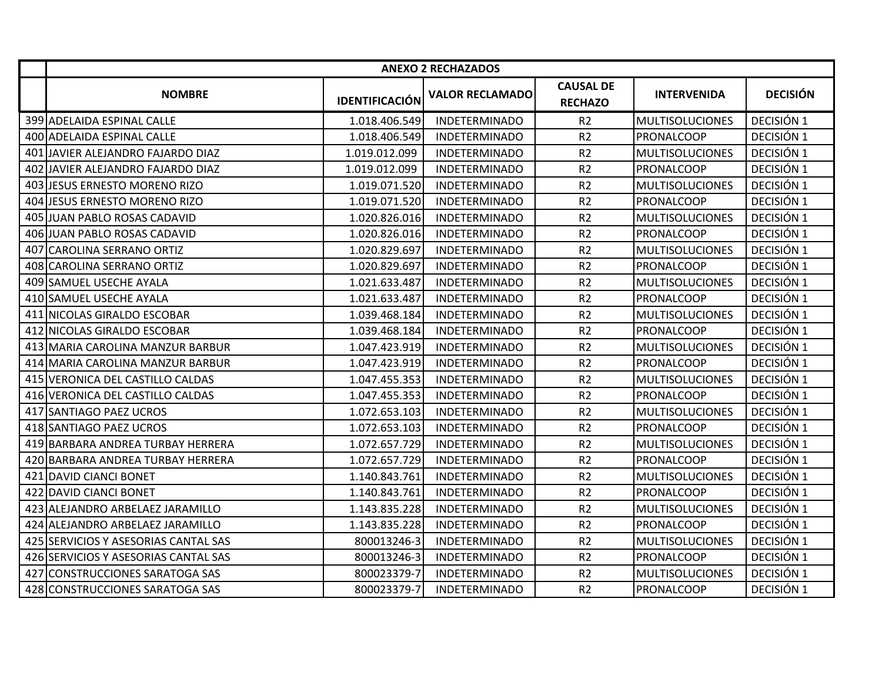|     | <b>ANEXO 2 RECHAZADOS</b>            |                       |                        |                                    |                        |                 |  |
|-----|--------------------------------------|-----------------------|------------------------|------------------------------------|------------------------|-----------------|--|
|     | <b>NOMBRE</b>                        | <b>IDENTIFICACIÓN</b> | <b>VALOR RECLAMADO</b> | <b>CAUSAL DE</b><br><b>RECHAZO</b> | <b>INTERVENIDA</b>     | <b>DECISIÓN</b> |  |
|     | 399 ADELAIDA ESPINAL CALLE           | 1.018.406.549         | <b>INDETERMINADO</b>   | R2                                 | <b>MULTISOLUCIONES</b> | DECISIÓN 1      |  |
|     | 400 ADELAIDA ESPINAL CALLE           | 1.018.406.549         | <b>INDETERMINADO</b>   | R <sub>2</sub>                     | <b>IPRONALCOOP</b>     | DECISIÓN 1      |  |
|     | 401 JAVIER ALEJANDRO FAJARDO DIAZ    | 1.019.012.099         | <b>INDETERMINADO</b>   | R2                                 | <b>MULTISOLUCIONES</b> | DECISIÓN 1      |  |
| 402 | JAVIER ALEJANDRO FAJARDO DIAZ        | 1.019.012.099         | <b>INDETERMINADO</b>   | R2                                 | <b>PRONALCOOP</b>      | DECISIÓN 1      |  |
|     | 403 JESUS ERNESTO MORENO RIZO        | 1.019.071.520         | <b>INDETERMINADO</b>   | R2                                 | <b>MULTISOLUCIONES</b> | DECISIÓN 1      |  |
|     | 404 JESUS ERNESTO MORENO RIZO        | 1.019.071.520         | <b>INDETERMINADO</b>   | R2                                 | PRONALCOOP             | DECISIÓN 1      |  |
|     | 405 JUAN PABLO ROSAS CADAVID         | 1.020.826.016         | <b>INDETERMINADO</b>   | R2                                 | <b>MULTISOLUCIONES</b> | DECISIÓN 1      |  |
|     | 406 JUAN PABLO ROSAS CADAVID         | 1.020.826.016         | <b>INDETERMINADO</b>   | R2                                 | <b>PRONALCOOP</b>      | DECISIÓN 1      |  |
|     | 407 CAROLINA SERRANO ORTIZ           | 1.020.829.697         | <b>INDETERMINADO</b>   | R <sub>2</sub>                     | <b>MULTISOLUCIONES</b> | DECISIÓN 1      |  |
|     | 408 CAROLINA SERRANO ORTIZ           | 1.020.829.697         | <b>INDETERMINADO</b>   | R2                                 | PRONALCOOP             | DECISIÓN 1      |  |
|     | 409 SAMUEL USECHE AYALA              | 1.021.633.487         | <b>INDETERMINADO</b>   | R2                                 | <b>MULTISOLUCIONES</b> | DECISIÓN 1      |  |
|     | 410 SAMUEL USECHE AYALA              | 1.021.633.487         | <b>INDETERMINADO</b>   | R2                                 | PRONALCOOP             | DECISIÓN 1      |  |
|     | 411 NICOLAS GIRALDO ESCOBAR          | 1.039.468.184         | <b>INDETERMINADO</b>   | R2                                 | <b>MULTISOLUCIONES</b> | DECISIÓN 1      |  |
|     | 412 NICOLAS GIRALDO ESCOBAR          | 1.039.468.184         | <b>INDETERMINADO</b>   | R <sub>2</sub>                     | PRONALCOOP             | DECISIÓN 1      |  |
|     | 413 MARIA CAROLINA MANZUR BARBUR     | 1.047.423.919         | <b>INDETERMINADO</b>   | R2                                 | <b>MULTISOLUCIONES</b> | DECISIÓN 1      |  |
|     | 414 MARIA CAROLINA MANZUR BARBUR     | 1.047.423.919         | <b>INDETERMINADO</b>   | R2                                 | PRONALCOOP             | DECISIÓN 1      |  |
|     | 415 VERONICA DEL CASTILLO CALDAS     | 1.047.455.353         | <b>INDETERMINADO</b>   | R2                                 | <b>MULTISOLUCIONES</b> | DECISIÓN 1      |  |
|     | 416 VERONICA DEL CASTILLO CALDAS     | 1.047.455.353         | <b>INDETERMINADO</b>   | R <sub>2</sub>                     | PRONALCOOP             | DECISIÓN 1      |  |
|     | 417 SANTIAGO PAEZ UCROS              | 1.072.653.103         | <b>INDETERMINADO</b>   | R2                                 | <b>MULTISOLUCIONES</b> | DECISIÓN 1      |  |
|     | 418 SANTIAGO PAEZ UCROS              | 1.072.653.103         | <b>INDETERMINADO</b>   | R2                                 | <b>PRONALCOOP</b>      | DECISIÓN 1      |  |
|     | 419 BARBARA ANDREA TURBAY HERRERA    | 1.072.657.729         | <b>INDETERMINADO</b>   | R2                                 | <b>MULTISOLUCIONES</b> | DECISIÓN 1      |  |
|     | 420 BARBARA ANDREA TURBAY HERRERA    | 1.072.657.729         | <b>INDETERMINADO</b>   | R2                                 | <b>PRONALCOOP</b>      | DECISIÓN 1      |  |
|     | 421 DAVID CIANCI BONET               | 1.140.843.761         | <b>INDETERMINADO</b>   | R2                                 | <b>MULTISOLUCIONES</b> | DECISIÓN 1      |  |
|     | 422 DAVID CIANCI BONET               | 1.140.843.761         | <b>INDETERMINADO</b>   | R2                                 | PRONALCOOP             | DECISIÓN 1      |  |
|     | 423 ALEJANDRO ARBELAEZ JARAMILLO     | 1.143.835.228         | <b>INDETERMINADO</b>   | R2                                 | <b>MULTISOLUCIONES</b> | DECISIÓN 1      |  |
|     | 424 ALEJANDRO ARBELAEZ JARAMILLO     | 1.143.835.228         | <b>INDETERMINADO</b>   | R2                                 | <b>PRONALCOOP</b>      | DECISIÓN 1      |  |
|     | 425 SERVICIOS Y ASESORIAS CANTAL SAS | 800013246-3           | <b>INDETERMINADO</b>   | R <sub>2</sub>                     | <b>MULTISOLUCIONES</b> | DECISIÓN 1      |  |
|     | 426 SERVICIOS Y ASESORIAS CANTAL SAS | 800013246-3           | <b>INDETERMINADO</b>   | R2                                 | <b>PRONALCOOP</b>      | DECISIÓN 1      |  |
|     | 427 CONSTRUCCIONES SARATOGA SAS      | 800023379-7           | <b>INDETERMINADO</b>   | R2                                 | <b>MULTISOLUCIONES</b> | DECISIÓN 1      |  |
|     | 428 CONSTRUCCIONES SARATOGA SAS      | 800023379-7           | <b>INDETERMINADO</b>   | R2                                 | PRONALCOOP             | DECISIÓN 1      |  |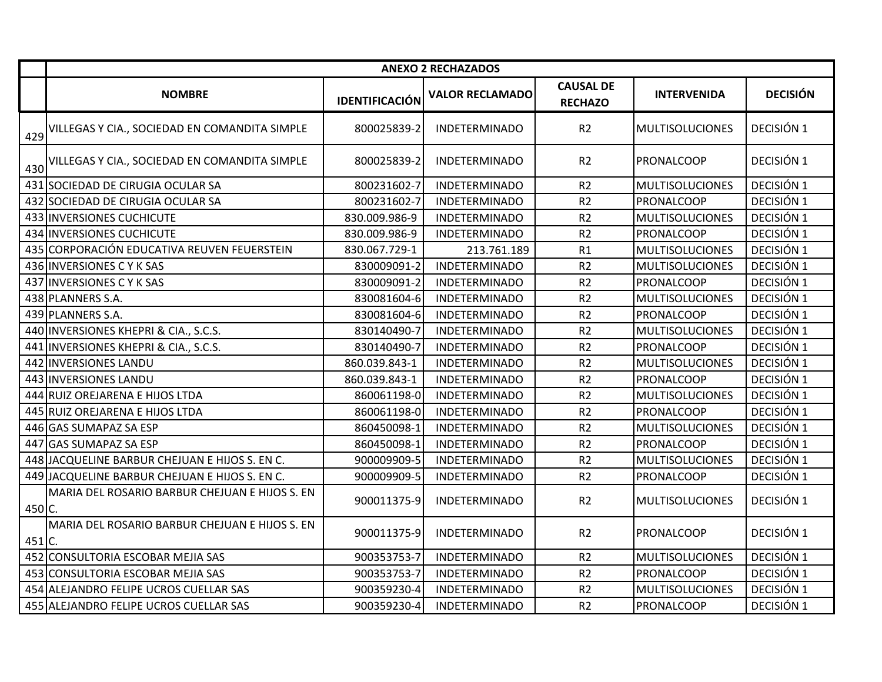|          | <b>ANEXO 2 RECHAZADOS</b>                      |                       |                        |                                    |                        |                 |
|----------|------------------------------------------------|-----------------------|------------------------|------------------------------------|------------------------|-----------------|
|          | <b>NOMBRE</b>                                  | <b>IDENTIFICACIÓN</b> | <b>VALOR RECLAMADO</b> | <b>CAUSAL DE</b><br><b>RECHAZO</b> | <b>INTERVENIDA</b>     | <b>DECISIÓN</b> |
| 429      | VILLEGAS Y CIA., SOCIEDAD EN COMANDITA SIMPLE  | 800025839-2           | <b>INDETERMINADO</b>   | R <sub>2</sub>                     | <b>MULTISOLUCIONES</b> | DECISIÓN 1      |
| 430      | VILLEGAS Y CIA., SOCIEDAD EN COMANDITA SIMPLE  | 800025839-2           | <b>INDETERMINADO</b>   | R2                                 | PRONALCOOP             | DECISIÓN 1      |
|          | 431 SOCIEDAD DE CIRUGIA OCULAR SA              | 800231602-7           | <b>INDETERMINADO</b>   | R <sub>2</sub>                     | <b>MULTISOLUCIONES</b> | DECISIÓN 1      |
|          | 432 SOCIEDAD DE CIRUGIA OCULAR SA              | 800231602-7           | <b>INDETERMINADO</b>   | R <sub>2</sub>                     | PRONALCOOP             | DECISIÓN 1      |
|          | 433 INVERSIONES CUCHICUTE                      | 830.009.986-9         | <b>INDETERMINADO</b>   | R <sub>2</sub>                     | <b>MULTISOLUCIONES</b> | DECISIÓN 1      |
|          | 434 INVERSIONES CUCHICUTE                      | 830.009.986-9         | <b>INDETERMINADO</b>   | R <sub>2</sub>                     | PRONALCOOP             | DECISIÓN 1      |
|          | 435 CORPORACIÓN EDUCATIVA REUVEN FEUERSTEIN    | 830.067.729-1         | 213.761.189            | R1                                 | <b>MULTISOLUCIONES</b> | DECISIÓN 1      |
|          | 436 INVERSIONES C Y K SAS                      | 830009091-2           | <b>INDETERMINADO</b>   | R <sub>2</sub>                     | <b>MULTISOLUCIONES</b> | DECISIÓN 1      |
|          | 437 INVERSIONES C Y K SAS                      | 830009091-2           | <b>INDETERMINADO</b>   | R <sub>2</sub>                     | PRONALCOOP             | DECISIÓN 1      |
|          | 438 PLANNERS S.A.                              | 830081604-6           | <b>INDETERMINADO</b>   | R <sub>2</sub>                     | <b>MULTISOLUCIONES</b> | DECISIÓN 1      |
|          | 439 PLANNERS S.A.                              | 830081604-6           | <b>INDETERMINADO</b>   | R <sub>2</sub>                     | PRONALCOOP             | DECISIÓN 1      |
|          | 440 INVERSIONES KHEPRI & CIA., S.C.S.          | 830140490-7           | <b>INDETERMINADO</b>   | R <sub>2</sub>                     | <b>MULTISOLUCIONES</b> | DECISIÓN 1      |
|          | 441 INVERSIONES KHEPRI & CIA., S.C.S.          | 830140490-7           | <b>INDETERMINADO</b>   | R <sub>2</sub>                     | PRONALCOOP             | DECISIÓN 1      |
|          | 442 INVERSIONES LANDU                          | 860.039.843-1         | <b>INDETERMINADO</b>   | R <sub>2</sub>                     | <b>MULTISOLUCIONES</b> | DECISIÓN 1      |
|          | 443 INVERSIONES LANDU                          | 860.039.843-1         | <b>INDETERMINADO</b>   | R <sub>2</sub>                     | PRONALCOOP             | DECISIÓN 1      |
|          | 444 RUIZ OREJARENA E HIJOS LTDA                | 860061198-0           | <b>INDETERMINADO</b>   | R <sub>2</sub>                     | <b>MULTISOLUCIONES</b> | DECISIÓN 1      |
|          | 445 RUIZ OREJARENA E HIJOS LTDA                | 860061198-0           | <b>INDETERMINADO</b>   | R <sub>2</sub>                     | PRONALCOOP             | DECISIÓN 1      |
|          | 446 GAS SUMAPAZ SA ESP                         | 860450098-1           | <b>INDETERMINADO</b>   | R <sub>2</sub>                     | <b>MULTISOLUCIONES</b> | DECISIÓN 1      |
|          | 447 GAS SUMAPAZ SA ESP                         | 860450098-1           | <b>INDETERMINADO</b>   | R <sub>2</sub>                     | PRONALCOOP             | DECISIÓN 1      |
|          | 448 JACQUELINE BARBUR CHEJUAN E HIJOS S. EN C. | 900009909-5           | <b>INDETERMINADO</b>   | R2                                 | <b>MULTISOLUCIONES</b> | DECISIÓN 1      |
|          | 449 JACQUELINE BARBUR CHEJUAN E HIJOS S. EN C. | 900009909-5           | <b>INDETERMINADO</b>   | R <sub>2</sub>                     | PRONALCOOP             | DECISIÓN 1      |
| $450$ C. | MARIA DEL ROSARIO BARBUR CHEJUAN E HIJOS S. EN | 900011375-9           | <b>INDETERMINADO</b>   | R <sub>2</sub>                     | <b>MULTISOLUCIONES</b> | DECISIÓN 1      |
| $451$ C. | MARIA DEL ROSARIO BARBUR CHEJUAN E HIJOS S. EN | 900011375-9           | <b>INDETERMINADO</b>   | R <sub>2</sub>                     | PRONALCOOP             | DECISIÓN 1      |
|          | 452 CONSULTORIA ESCOBAR MEJIA SAS              | 900353753-7           | <b>INDETERMINADO</b>   | R2                                 | <b>MULTISOLUCIONES</b> | DECISIÓN 1      |
|          | 453 CONSULTORIA ESCOBAR MEJIA SAS              | 900353753-7           | <b>INDETERMINADO</b>   | R2                                 | PRONALCOOP             | DECISIÓN 1      |
|          | 454 ALEJANDRO FELIPE UCROS CUELLAR SAS         | 900359230-4           | <b>INDETERMINADO</b>   | R2                                 | <b>MULTISOLUCIONES</b> | DECISIÓN 1      |
|          | 455 ALEJANDRO FELIPE UCROS CUELLAR SAS         | 900359230-4           | <b>INDETERMINADO</b>   | R <sub>2</sub>                     | PRONALCOOP             | DECISIÓN 1      |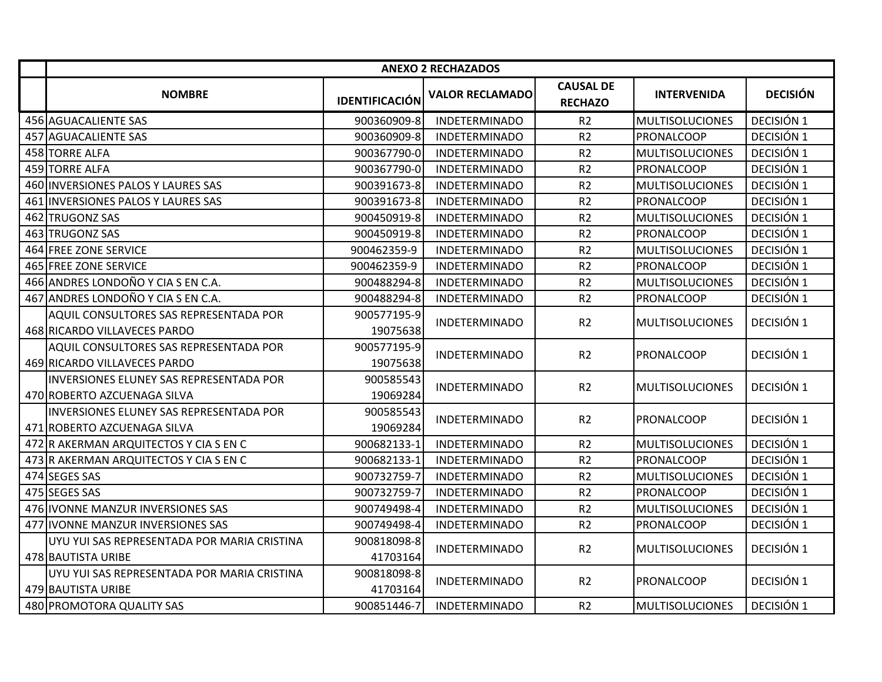|     | <b>ANEXO 2 RECHAZADOS</b>                                              |                         |                        |                                    |                        |                 |
|-----|------------------------------------------------------------------------|-------------------------|------------------------|------------------------------------|------------------------|-----------------|
|     | <b>NOMBRE</b>                                                          | <b>IDENTIFICACIÓN</b>   | <b>VALOR RECLAMADO</b> | <b>CAUSAL DE</b><br><b>RECHAZO</b> | <b>INTERVENIDA</b>     | <b>DECISIÓN</b> |
|     | 456 AGUACALIENTE SAS                                                   | 900360909-8             | <b>INDETERMINADO</b>   | R <sub>2</sub>                     | <b>MULTISOLUCIONES</b> | DECISIÓN 1      |
|     | 457 AGUACALIENTE SAS                                                   | 900360909-8             | <b>INDETERMINADO</b>   | R <sub>2</sub>                     | PRONALCOOP             | DECISIÓN 1      |
|     | 458 TORRE ALFA                                                         | 900367790-0             | <b>INDETERMINADO</b>   | R <sub>2</sub>                     | <b>MULTISOLUCIONES</b> | DECISIÓN 1      |
|     | 459 TORRE ALFA                                                         | 900367790-0             | <b>INDETERMINADO</b>   | R2                                 | PRONALCOOP             | DECISIÓN 1      |
| 460 | <b>INVERSIONES PALOS Y LAURES SAS</b>                                  | 900391673-8             | <b>INDETERMINADO</b>   | R <sub>2</sub>                     | <b>MULTISOLUCIONES</b> | DECISIÓN 1      |
|     | 461 INVERSIONES PALOS Y LAURES SAS                                     | 900391673-8             | <b>INDETERMINADO</b>   | R <sub>2</sub>                     | PRONALCOOP             | DECISIÓN 1      |
|     | 462 TRUGONZ SAS                                                        | 900450919-8             | <b>INDETERMINADO</b>   | R <sub>2</sub>                     | <b>MULTISOLUCIONES</b> | DECISIÓN 1      |
| 463 | <b>TRUGONZ SAS</b>                                                     | 900450919-8             | <b>INDETERMINADO</b>   | R <sub>2</sub>                     | PRONALCOOP             | DECISIÓN 1      |
|     | 464 FREE ZONE SERVICE                                                  | 900462359-9             | <b>INDETERMINADO</b>   | R <sub>2</sub>                     | MULTISOLUCIONES        | DECISIÓN 1      |
|     | 465 FREE ZONE SERVICE                                                  | 900462359-9             | <b>INDETERMINADO</b>   | R <sub>2</sub>                     | <b>PRONALCOOP</b>      | DECISIÓN 1      |
|     | 466 ANDRES LONDOÑO Y CIA S EN C.A.                                     | 900488294-8             | <b>INDETERMINADO</b>   | R <sub>2</sub>                     | <b>MULTISOLUCIONES</b> | DECISIÓN 1      |
|     | 467 ANDRES LONDOÑO Y CIA S EN C.A.                                     | 900488294-8             | <b>INDETERMINADO</b>   | R <sub>2</sub>                     | PRONALCOOP             | DECISIÓN 1      |
|     | AQUIL CONSULTORES SAS REPRESENTADA POR<br>468 RICARDO VILLAVECES PARDO | 900577195-9<br>19075638 | <b>INDETERMINADO</b>   | R <sub>2</sub>                     | <b>MULTISOLUCIONES</b> | DECISIÓN 1      |
|     | AQUIL CONSULTORES SAS REPRESENTADA POR<br>469 RICARDO VILLAVECES PARDO | 900577195-9<br>19075638 | <b>INDETERMINADO</b>   | R <sub>2</sub>                     | PRONALCOOP             | DECISIÓN 1      |
|     | INVERSIONES ELUNEY SAS REPRESENTADA POR<br>470 ROBERTO AZCUENAGA SILVA | 900585543<br>19069284   | <b>INDETERMINADO</b>   | R <sub>2</sub>                     | <b>MULTISOLUCIONES</b> | DECISIÓN 1      |
|     | INVERSIONES ELUNEY SAS REPRESENTADA POR<br>471 ROBERTO AZCUENAGA SILVA | 900585543<br>19069284   | <b>INDETERMINADO</b>   | R <sub>2</sub>                     | <b>PRONALCOOP</b>      | DECISIÓN 1      |
|     | 472 R AKERMAN ARQUITECTOS Y CIA S EN C                                 | 900682133-1             | <b>INDETERMINADO</b>   | R <sub>2</sub>                     | <b>MULTISOLUCIONES</b> | DECISIÓN 1      |
|     | 473 R AKERMAN ARQUITECTOS Y CIA S EN C                                 | 900682133-1             | <b>INDETERMINADO</b>   | R <sub>2</sub>                     | PRONALCOOP             | DECISIÓN 1      |
|     | 474 SEGES SAS                                                          | 900732759-7             | <b>INDETERMINADO</b>   | R <sub>2</sub>                     | <b>MULTISOLUCIONES</b> | DECISIÓN 1      |
|     | 475 SEGES SAS                                                          | 900732759-7             | <b>INDETERMINADO</b>   | R <sub>2</sub>                     | PRONALCOOP             | DECISIÓN 1      |
|     | 476 IVONNE MANZUR INVERSIONES SAS                                      | 900749498-4             | <b>INDETERMINADO</b>   | R <sub>2</sub>                     | <b>MULTISOLUCIONES</b> | DECISIÓN 1      |
|     | 477 IIVONNE MANZUR INVERSIONES SAS                                     | 900749498-4             | <b>INDETERMINADO</b>   | R <sub>2</sub>                     | <b>PRONALCOOP</b>      | DECISIÓN 1      |
|     | UYU YUI SAS REPRESENTADA POR MARIA CRISTINA<br>478 BAUTISTA URIBE      | 900818098-8<br>41703164 | <b>INDETERMINADO</b>   | R <sub>2</sub>                     | <b>MULTISOLUCIONES</b> | DECISIÓN 1      |
|     | UYU YUI SAS REPRESENTADA POR MARIA CRISTINA<br>479 BAUTISTA URIBE      | 900818098-8<br>41703164 | <b>INDETERMINADO</b>   | R <sub>2</sub>                     | <b>PRONALCOOP</b>      | DECISIÓN 1      |
|     | 480 PROMOTORA QUALITY SAS                                              | 900851446-7             | <b>INDETERMINADO</b>   | R <sub>2</sub>                     | <b>MULTISOLUCIONES</b> | DECISIÓN 1      |